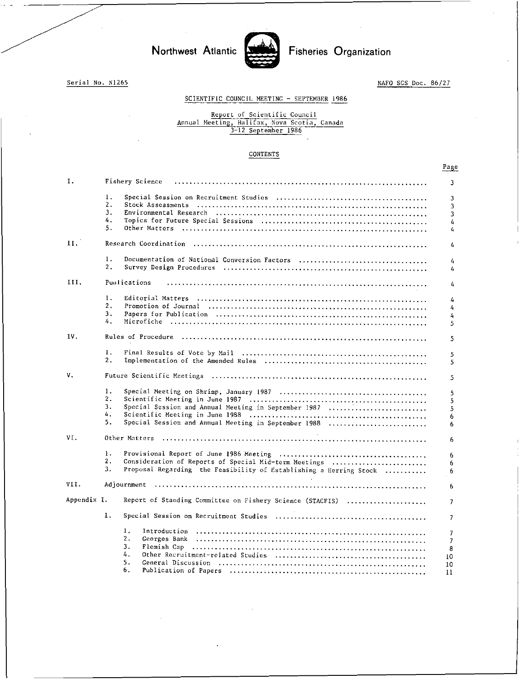

Serial No. N1265 NAFO SCS Doc. 86/27

# SCIENTIFIC COUNCIL MEETING - SEPTEMBER 1986

Report of Scientific Council . Annual Meeting, Halifax, Nova Scotia, Canada 3-12 September 1986

# **CONTENTS**

|             |                                                                                                                                                                                                                                      | Page           |
|-------------|--------------------------------------------------------------------------------------------------------------------------------------------------------------------------------------------------------------------------------------|----------------|
| I.          | Fishery Science                                                                                                                                                                                                                      | 3              |
|             | 1.                                                                                                                                                                                                                                   | 3              |
|             | 2.<br>Stock Assessments (allegational contracts) and the contracts of the stock Assessments                                                                                                                                          | 3              |
|             | 3.                                                                                                                                                                                                                                   | 3              |
|             | 4.                                                                                                                                                                                                                                   | 4              |
|             | 5.                                                                                                                                                                                                                                   | 4              |
| <b>II.</b>  |                                                                                                                                                                                                                                      | 4              |
|             | 1.<br>Documentation of National Conversion Factors                                                                                                                                                                                   | 4              |
|             | 2.                                                                                                                                                                                                                                   | 4              |
| III.        | Puolications                                                                                                                                                                                                                         | 4              |
|             | 1.<br>Editorial Matters (allergical contracts) and the contract of the contract of the contract of the contract of the contract of the contract of the contract of the contract of the contract of the contract of the contract of t | 4              |
|             | 2.                                                                                                                                                                                                                                   | 4              |
|             | 3.                                                                                                                                                                                                                                   | 4              |
|             | 4.                                                                                                                                                                                                                                   | 5              |
| IV.         |                                                                                                                                                                                                                                      | 5              |
|             | 1.                                                                                                                                                                                                                                   | 5              |
|             | 2.                                                                                                                                                                                                                                   | 5              |
| ٧.          |                                                                                                                                                                                                                                      | 5              |
|             | 1.                                                                                                                                                                                                                                   | 5              |
|             | 2.                                                                                                                                                                                                                                   | 5              |
|             | 3.<br>Special Session and Annual Meeting in September 1987                                                                                                                                                                           | 5              |
|             | 4.                                                                                                                                                                                                                                   | 6              |
|             | 5.<br>Special Session and Annual Meeting in September 1988                                                                                                                                                                           | 6              |
| VI.         |                                                                                                                                                                                                                                      | 6              |
|             | 1.                                                                                                                                                                                                                                   |                |
|             | 2.                                                                                                                                                                                                                                   | 6              |
|             | Consideration of Reports of Special Mid-term Meetings<br>з.                                                                                                                                                                          | 6              |
|             | Proposal Regarding the Feasibility of Establishing a Herring Stock                                                                                                                                                                   | 6              |
| VII.        |                                                                                                                                                                                                                                      | 6              |
| Appendix I. | Report of Standing Committee on Fishery Science (STACFIS)                                                                                                                                                                            | $\overline{7}$ |
|             | 1.                                                                                                                                                                                                                                   | $\overline{7}$ |
|             | 1.                                                                                                                                                                                                                                   | 7              |
|             | 2.                                                                                                                                                                                                                                   | 7              |
|             | 3.                                                                                                                                                                                                                                   | 8              |
|             | 4.                                                                                                                                                                                                                                   | 10             |
|             | 5.                                                                                                                                                                                                                                   | 10             |
|             | 6.                                                                                                                                                                                                                                   | 11             |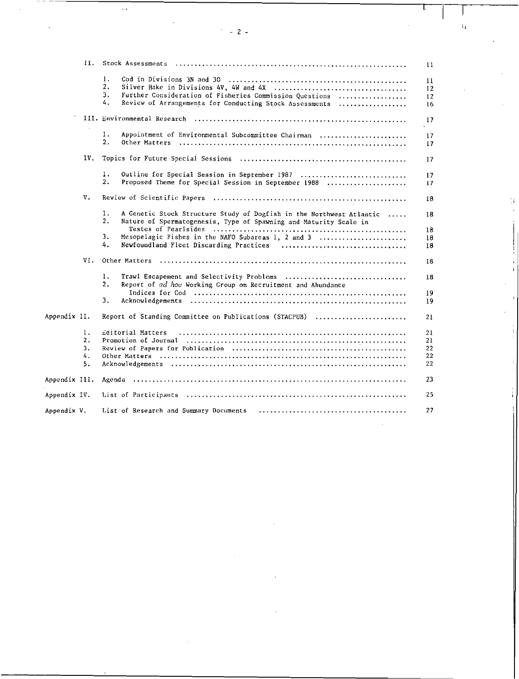$\frac{1}{2}$  – 2 –

 $\hat{\beta}$  .

|               | 11.                        | Stock Assessments (and the contract of the contract of the contract of the state of the state of the state of the state of the state of the state of the state of the state of the state of the state of the state of the stat | $^{11}$                    |
|---------------|----------------------------|--------------------------------------------------------------------------------------------------------------------------------------------------------------------------------------------------------------------------------|----------------------------|
|               |                            | 1.<br>2.<br>3.<br>Further Consideration of Fisheries Commission Questions<br>4.<br>Review of Arrangements for Conducting Stock Assessments                                                                                     | 11<br>12<br>12<br>16       |
|               |                            |                                                                                                                                                                                                                                | 17                         |
|               |                            | 1.<br>Appointment of Environmental Subcommittee Chairman<br>2.                                                                                                                                                                 | 17<br>17                   |
|               |                            |                                                                                                                                                                                                                                | 17                         |
|               |                            | 1.<br>Outline for Special Session in September 1987<br>2.<br>Proposed Theme for Special Session in September 1988                                                                                                              | 17<br>17                   |
|               | $v_{\rm t}$                | Review of Scientific Papers (Allerta Alexandree, Alexandree, Alexandree, Alexandree, Alexandree, Alexandree, A                                                                                                                 | 18                         |
|               |                            | 1.<br>A Genetic Stock Structure Study of Dogfish in the Northwest Atlantic<br>2.<br>Nature of Spermatogenesis, Type of Spawning and Maturity Scale in                                                                          | 18                         |
|               |                            | Mesopelagic Fishes in the NAFO Subareas 1, 2 and 3<br>3.<br>Newfoundland Fleet Discarding Practices<br>4.                                                                                                                      | 18<br>18<br>18             |
|               | VI.                        |                                                                                                                                                                                                                                | 18                         |
|               |                            | 1.<br>Trawl Escapement and Selectivity Problems<br>2.<br>Report of ad how Working Group on Recruitment and Abundance                                                                                                           | 18                         |
|               |                            | 3.                                                                                                                                                                                                                             | 19<br>19                   |
| Appendix II.  |                            | Report of Standing Committee on Publications (STACPUB)                                                                                                                                                                         | 21                         |
|               | 1.<br>2.<br>3.<br>4.<br>5. | Editorial Matters                                                                                                                                                                                                              | 21<br>21<br>22<br>22<br>22 |
| Appendix III. |                            |                                                                                                                                                                                                                                | 23                         |
| Appendix IV.  |                            |                                                                                                                                                                                                                                | 25                         |
| Appendix V.   |                            | List of Research and Summary Documents                                                                                                                                                                                         | 27                         |
|               |                            |                                                                                                                                                                                                                                |                            |

Ò,

 $\bar{\bar{\bar{t}}}_1$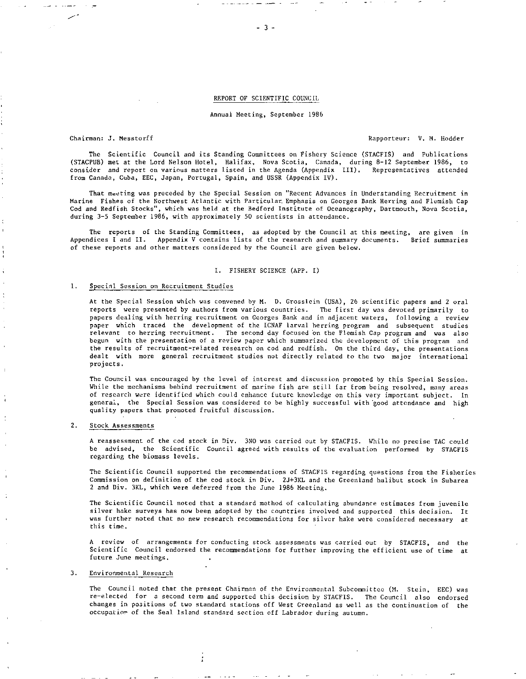## REPORT OF SCIENTIFIC COUNCIL

## Annual Meeting, September 1986

Chairman: J. Messtorff **Rapporteur: V. M. Hodder** Rapporteur: V. M. Hodder

The Scientific Council and its Standing Committees on Fishery Science (STACFIS) and Publications (STACPUB) met at the Lord Nelson Hotel, Halifax, Nova Scotia, Canada, during 8-12 September 1986, to consider and report on various matters listed in the Agenda (Appendix III). Representatives attended from Canada, Cuba, EEC, Japan, Portugal, Spain, and USSR (Appendix IV).

That meeting was preceded by the Special Session on "Recent Advances in Understanding Recruitment in Marine Fishes of the Northwest Atlantic with Particular. Emphasis on Georges Bank Herring and Flemish Cap Cod and Redfish Stocks", which was held at the Bedford Institute of Oceanography, Dartmouth, Nova Scotia, during 3-5 September 1986, with approximately 50 scientists in attendance.

The reports of the Standing Committees, as adopted by the Council at this meeting, are given in Appendices I and II. Appendix V contains lists of the research and summary documents. Brief summaries of these reports and other matters considered by the Council are given below.

## I. FISHERY SCIENCE (APP. I)

## 1. Specinl Session on Recruitment Studies

At the Special Session which was convened by M. D. Grosslcin (USA), 26 scientific papers and 2 oral reports were presented by authors from various countries. The first day was devoted primarily to papers dealing with herring recruitment on Georges Bank and in adjacent waters, following a review paper which traced the development of the ICNAF larval herring program and subsequent studies relevant to herring recruitment. The second day focused on the Flemish Cap program and was also begun with the presentation of a review paper which summarized the development of this program and the results of recruitment-related research on cod and redfish. On the third day, the presentations dealt with more general recruitment studies not directly related to the two major international projects.

The Council was encouraged by the level of interest and discussion promoted by this Special Session. While the mechanisms behind recruitment of marine fish are still far from being resolved, many areas of research were identified which could enhance future knowledge on this very important subject. In general, the Special Session was considered to be highly successful with 'good attendance and high quality papers that promoted fruitful discussion.

#### 2. Stock Assessments

A reassessment of the cod stock in Div. 3NO was carried out by STACFIS. While no precise TAC could be advised, the Scientific Council agreed with results of the evaluation performed by STACFIS regarding the biomass levels.

The Scientific Council supported the recommendations of STACFIS regarding questions from the Fisheries Commission on definition of the cod stock in Div. 2J+3KL and the Greenland halibut stock in Subarea 2 and Div. 3KL, which were deferred from the June 1986 Meeting.

The Scientific Council noted that a standard method of calculating abundance estimates from juvenile silver hake surveys has now been adopted by the countries involved and supported this decision. It was further noted that no new research recommendations for silver hake were considered necessary at this time.

A review of arrangements for conducting stock assessments was carried out by STACFIS, and the Scientific Council endorsed the recommendations for further improving the efficient use of time at future June meetings.

#### 3. Environmental Research

The Council noted that the present Chairman of the Environmental Subcommittee (M. Stein, EEC) was re-elected for a second term and supported this decision by STACFIS. The Council also endorsed changes in positions of two standard stations off West Greenland as well as the continuation of the occupation of the Seal Island standard section off Labrador during autumn.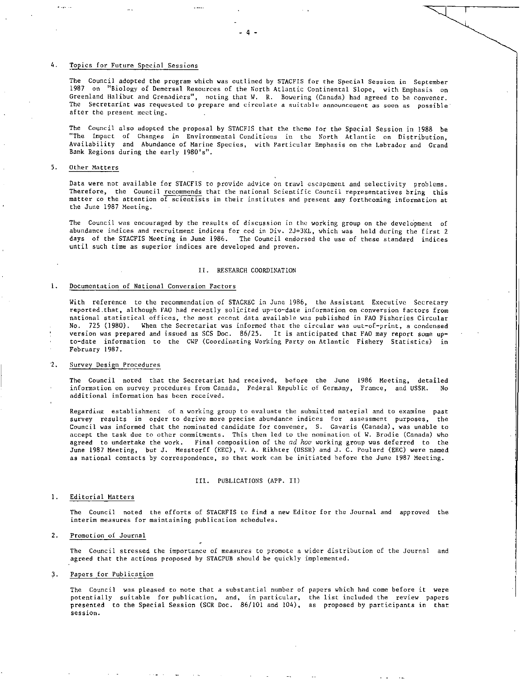## 4. Topics for Future Special Sessions

The Council adopted the program which was outlined by STACFIS for the Special Session in September L987 on "Biology of Demersal Resources of the North Atlantic Continental Slope, with Emphasis on Greenland Halibut and Grenadiers", noting that W. R. Bowering (Canada) had agreed to be convener. The Secretariat was requested to prepare and circulate a suitable announcement as soon as possible after the present meeting.

The Council also adopted the proposal by STACFIS that the theme for the Special Session in 1988 be "The Impact of Changes in Environmental Conditions in the North Atlantic on Distribution, Availability and Abundance of Marine Species, with Particular Emphasis on the Labrador and Grand Bank Regions during the early 1980's".

## 5. Other Matters

Data were not available for STACFIS to provide advice on trawl escapement and selectivity problems. Therefore, the Council recommends that the national Scientific Council representatives bring this matter co the attention of scientists in their institutes and present any forthcoming information at the June 1987 Meeting.

The Council was encouraged by the results of discussion in the working group on the development of abundance indices and recruitment indices for cod in Div. 2J+3KL, which was held during the first 2 days of the STACFIS Meeting in June 1986. The Council endorsed the use of these standard indices until such time as superior indices are developed and proven.

## II. RESEARCH COORDINATION

## 1. Documentation of National Conversion Factors

With reference to the recommendation of STACREC in June 1986, the Assistant Executive Secretary reported.that, although FAO had recently solicited up-to-date information on conversion factors from national statistical offices, the most recent data available was published in FAO Fisheries Circular No. 725 (1980). When the Secretariat was informed that the circular was out-of-print, a condensed version was prepared and issued as SCS Doc. 86/25. It is anticipated that FAO may report some upto-date information to the CWP (Coordinating Working Party on Atlantic Fishery Statistics) in February 1987.

#### $2.$ Survey Design Procedures

The Council noted that the Secretariat had received, before the June 1986 Meeting, detailed information on survey procedures from Canada, Federal Republic of Germany, France, and USSR. No additional information has been received.

Regarding establishment of a working group to evaluate the submitted material and to examine past survey results in order to derive more precise abundance indices for assessment purposes, the Council was informed that the nominated candidate for convener, S. Gavaris (Canada), was unable to accept the task due to other commitments. This then led to the nomination of W. Brodie (Canada) who agreed to undertake the work. Final composition of the *ad hoc* working group was deferred to the June 1987 Meeting, but J. Messtorff (EEC), V. A. Rikhter (USSR) and J. C. Foulard (EEC) were named as national contacts by correspondence, so that work can be initiated before the June 1987 Meeting.

## III. PUBLICATIONS (APP. II)

## 1. Editorial Matters

The Council noted the efforts of STACRFIS to find a new Editor for the Journal and approved the interim measures for maintaining publication schedules.

#### 2. Promotion of Journal

The Council stressed the importance of measures to promote a wider distribution of the Journal and agreed that the actions proposed by STACPUB should be quickly implemented.

#### 3. Papers for Publication

The Council was pleased to note that a substantial number of papers which had come before it were potentially suitable for publication, and, in particular, the list included the review papers presented to the Special Session (SCR Doc. 86/101 and 104), as proposed by participants in that session.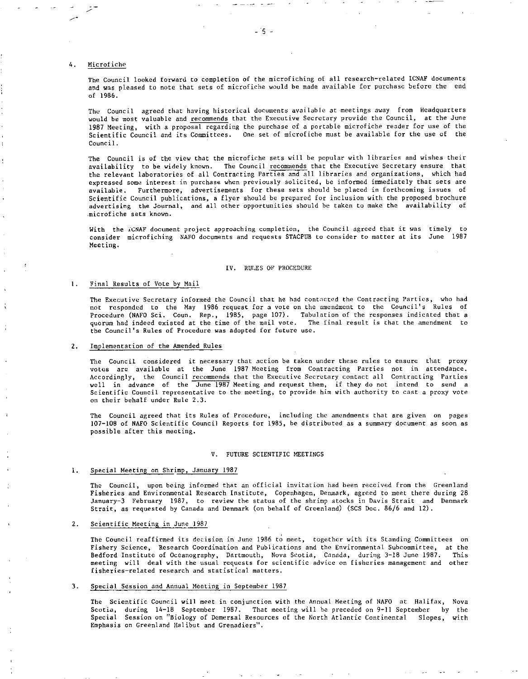## 4. Microfiche

The Council looked forward to completion of the microfiching of all research-related ICNAF documents and was pleased to note that sets of microfiche would be made available for purchase before the end of 1986.

The Council agreed that having historical documents available at meetings away from Headquarters would be most valuable and recommends that the Executive Secretary provide the Council, at the June 1987 Meeting, with a proposal regarding the purchase of a portable microfiche reader for use of the Scientific Council and its Committees. One set of microfiche must be available for the use of the Council.

The Council is of the view that the microfiche sets will be popular with libraries and wishes their availability to be widely known. The Council recommends that the Executive Secretary ensure that the relevant laboratories of all Contracting Parties and all libraries and organizations, which had expressed some interest in purchase when previously solicited, be informed immediately that sets are available. Furthermore, advertisements for these sets should be placed in forthcoming issues of Scientific Council publications, a flyer should be prepared for inclusion with the proposed brochure advertising the Journal, and all other opportunities should be taken to make the availability of microfiche sets known.

With the ICNAF document project approaching completion, the Council agreed that it was timely to consider microfiching NAFO documents and requests STACPUB to consider to matter at its June 1987 Meeting.

#### IV. RULES OF PROCEDURE

## 1. Final Results of Vote by Mail

The Executive Secretary informed the Council that he had contacted the Contracting Parties, who had not responded to the May 1986 request for a vote on the amendment to the Council's Rules of Procedure (NAFO Sci. Coun. Rep., 1985, page 107). Tabulation of the responses indicated that a quorum had indeed existed at the time of the mail vote. The final result is that the amendment to the Council's Rules of Procedure was adopted for future use.

#### 2. Implementation of the Amended Rules

The Council considered it necessary that action be taken under these rules to ensure that proxy votes are available at the June 1987 Meeting from Contracting Parties not in attendance. Accordingly, the Council recommends that the Executive Secretary contact all Contracting Parties well in advance of the June 1987 Meeting and request them, if they do not intend to send a Scientific Council representative to the meeting, to provide him with authority to cast a proxy vote on their behalf under Rule 2.3.

The Council agreed that its Rules of Procedure, including the amendments that are given on pages 107-108 of NAFO Scientific Council Reports for 1985, be distributed as a summary document as soon as possible after this meeting.

### V. FUTURE SCIENTIFIC MEETINGS

## 1. Special Meeting on Shrimp, January 1987

The Council, upon being informed that an official invitation had been received from the Greenland Fisheries and Environmental Research Institute, Copenhagen, Denmark, agreed to meet there during 28 January-3 February 1987, to review the status of the shrimp stocks in Davis Strait and Denmark Strait, as requested by Canada and Denmark (on behalf of Greenland) (SCS Doc. 86/6 and 12).

#### 2. Scientific Meeting in June 1987

The Council reaffirmed its decision in June 1986 to meet, together with its Standing Committees on Fishery Science, Research Coordination and Publications and the Environmental Subcommittee, at the Bedford Institute of Oceanography, Dartmouth, Nova Scotia, Canada, during 3-18 June 1987. This meeting will deal with the usual requests for scientific advice on fisheries management and other fisheries-related research and statistical matters.

## 3. Special Session and Annual Meeting in September 1987

The Scientific Council will meet in conjunction with the Annual Meeting of NAFO at Halifax, Nova Scotia, during 14-18 September 1987. That meeting will he preceded on 9-11 September by the Special Session on "Biology of Demersal Resources of the North Atlantic Continental Slopes, with Emphasis on Greenland Halibut and Grenadiers".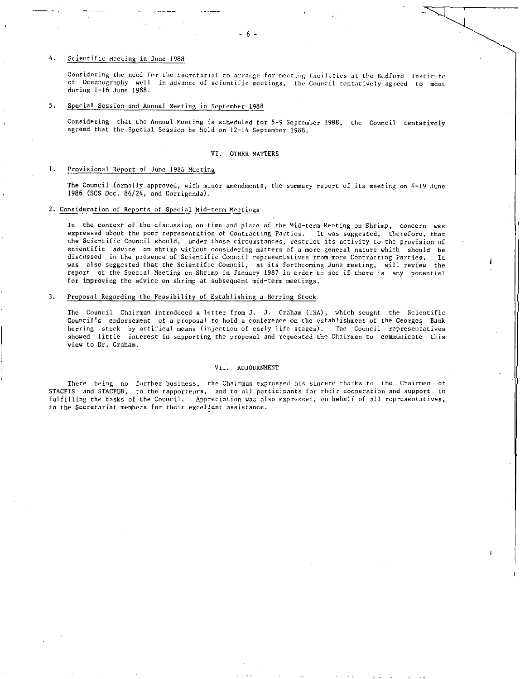# 4. Scientific meeting in June 1988

Considering the need for the Secretariat to arrange for meeting facilities at the Bedford Institute of Oceanography well in advance of scientific meetings, the Council tentatively agreed to meet ' during 1-16 June 1988.

# 5. Special Session and Annual Meeting in September 1988

Considering that the Annual Meeting is scheduled for 5-9 September 1988, the Council tentatively agreed that the Special Session be held on 12-14 September 1988.

#### VI. OTHER MATTERS

## 1. Provisional Report of June 1986 Meeting

The Council formally approved, with minor amendments, the summary report of its meeting on 4-19 June 1986 (SCS Doc. 86/24, and Corrigenda).

## 2. Consideration of Reports of Special Mid-term Meetings

In the context of the discussion on time and place of the Mid-term Meeting on Shrimp, concern was expressed about the poor representation of Contracting Parties. It was suggested, therefore, that the Scientific Council should, under those circumstances, restrict its activity to the provision of scientific advice on shrimp without considering matters of a more general nature which should be discussed in the presence of Scientific Council representatives from more Contracting Parties. It was also suggested that the Scientific Council, at its forthcoming June meeting, will review the report of the Special Meeting on Shrimp in January 1987 in order to see if there is any potential for improving the advice on shrimp at subsequent mid-term meetings.

## 3. Proposal Regarding the Feasibility of Establishing a Herring Stock

The Council Chairman introduced a letter from J. J. Graham (USA), which sought the Scientific Council's endorsement of a proposal to hold a conference on the establishment of the Georges Bank herring stock by artifical means (injection of early life stages). The Council representatives showed little interest in supporting the proposal and requested the Chairman to communicate this view to Dr. Graham.

## VII. ADJOURNMENT

There being no further business, the Chairman expressed his sincere thanks to the Chairmen of STACFIS and STACPUB, to the rapporteurs, and to all participants for their cooperation and support in fulfilling the tasks of the Council. Appreciation was also expressed, on behalf of all representatives, to the Secretariat members for their excellent assistance.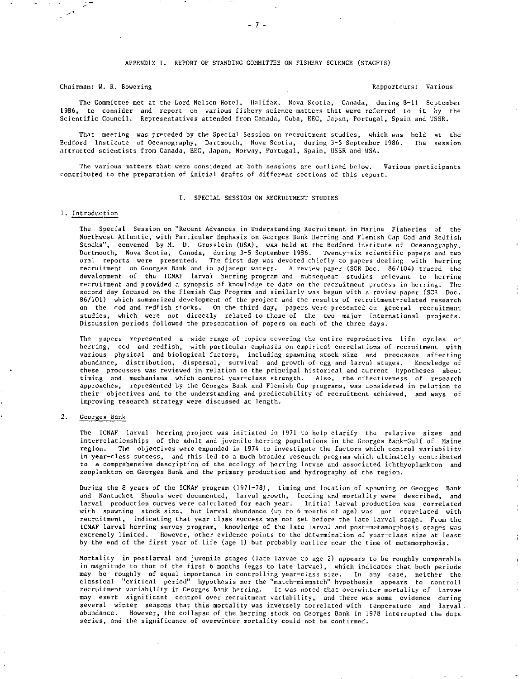## APPENDIX I. REPORT OF STANDING COMMITTEE ON FISHERY SCIENCE (STACFIS)

## Chairman: W. R. Bowering Chairman: W. R. Bowering Rapporteurs: Various

The Committee met at the Lord Nelson Hotel, Halifax, Nova Scotia, Canada, during 8-11 September 1986, to consider and report on various fishery science matters that were referred to it by the Scientific Council. Representatives attended from Canada, Cuba, EEC, Japan, Portugal, Spain and USSR.

That meeting was preceded by the Special Session on recruitment studies, which was held at the Bedford Institute of Oceanography, Dartmouth, Nova Scotia, during 3-5 September 1986. The session attracted scientists from Canada, EEC, Japan, Norway, Portugal, Spain, USSR and USA.

The various matters that were considered at both sessions are outlined below. Various participants contributed to the preparation of initial drafts of different sections of this report.

## I. SPECIAL SESSION ON RECRUITMENT STUDIES

## 1. Introduction

The Special Session on "Recent Advances in Understanding Recruitment in Marine Fisheries of the Northwest Atlantic, with Particular Emphasis on Georges Bank Herring and Flemish Cap Cod and Redfish Stocks", convened by M. D. Grosslein (USA), was held at the Bedford Institute of Oceanography, Dartmouth, Nova Scotia, Canada, during 3-5 September 1986. Twenty-six scientific papers and two oral reports were presented. The first day was devoted chiefly to papers dealing with herring recruitment on Georges Bank and in adjacent waters. A review paper (SCR Doc. 86/104) traced the development of the ICNAF larval herring program and subsequent studies relevant to herring recruitment and provided a synopsis of knowledge to date on the recruitment process in herring. The second day focused on the Flemish Cap Program and similarly was begun with a review paper (SCR Doc. 86/101) which summarized development of the project and the results of recruitment-related research on the cod and redfish stocks. On the third day, papers were presented on general recruitment studies, which were not directly related to those of the two major international projects. Discussion periods followed the presentation of papers on each of the three days.

The papers represented a wide range of topics covering the entire reproductive life cycles of herring, cod and redfish, with particular emphasis on empirical correlations of recruitment with various physical and biological factors, including spawning stock size and processes affecting abundance, distribution, dispersal, survival and growth of egg and larval stages. Knowledge of these processes was reviewed in relation to the principal historical and current hypotheses about timing and mechanisms which control year-class strength. Also, the effectiveness of research approaches, represented by the Georges Bank and Flemish Cap programs, was considered in relation to their objectives and to the understanding and predictability of recruitment achieved, and ways of improving research strategy were discussed at length.

#### 2. Georges Bank

The ICNAF larval herring project was initiated in 1971 to help clarify the relative sizes and interrelationships of the adult and juvenile herring populations in the Georges Bank-Gulf of Maine region. The objectives were expanded in 1974 to investigate the factors which control variability in year-class success, and this led to a much broader research program which ultimately contributed to a comprehensive description of the ecology of herring larvae and associated ichthyoplankton and zooplankton on Georges Bank and the primary production and hydrography of the region.

During the 8 years of the ICNAF program (1971-78), timing and location of spawning on Georges Bank and Nantucket Shoals were documented, larval growth, feeding and mortality were described, and larval production curves were calculated for each year. Initial larval production was correlated with spawning stock size, but larval abundance (up to 6 months of age) was not correlated with recruitment, indicating that year-class success was not set before the late larval stage. From the ICNAF larval herring survey program, knowledge of the late larval and post-metamorphosis stages was extremely limited. However, other evidence points to the determination of year-class size at least by the end of the first year of life (age 1) but probably earlier near the time of metamorphosis.

Mortality in postlarval and juvenile stages (late larvae to age 2) appears to be roughly comparable in magnitude to that of the first 6 months (eggs to late larvae), which indicates that both periods may be roughly of equal importance in controlling year-class size. In any case, neither the classical "critical period" hypothesis nor the "match-mismatch" hypothesis appears to control] recruitment variability in Georges Bank herring. It was noted that overwinter mortality of larvae may exert significant control over recruitment variability, and there was some evidence during several winter seasons that this mortality was inversely correlated with temperature and larval. abundance. However, the collapse of the herring stock on Georges Bank in 1978 interrupted the data series, and the significance of overwinter mortality could not be confirmed.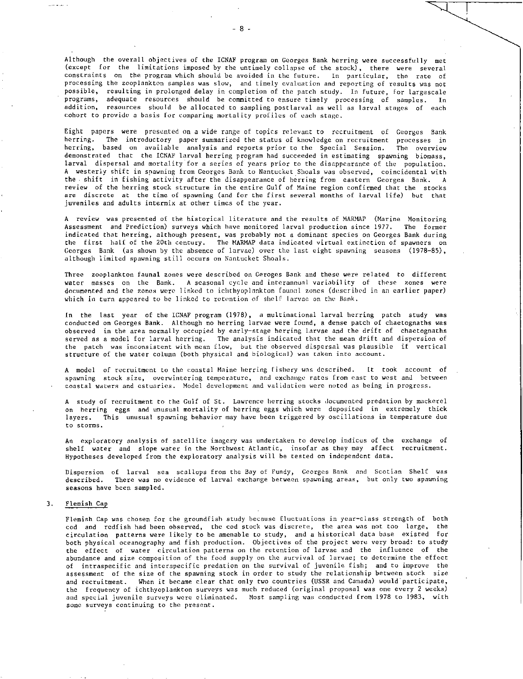Although the overall objectives of the ICNAF program on Georges Bank herring were successfully met (except for the limitations imposed by the untimely collapse of the stock), there were several constraints on the program which should be avoided in the future. In particular, the rate of processing the zooplankton samples was slow, and timely evaluation and reporting of results was not possible, resulting in prolonged delay in completion of the patch study. In future, for largescale programs, adequate resources should be committed to ensure timely processing of samples. In addition, resources should be allocated to sampling postlarval as well as larval stages of each cohort to provide a basis for comparing mortality profiles of each stage.

Eight papers were presented on a wide range of topics relevant to recruitment of Georges Bank herring. The introductory paper summarized the status of knowledge on recruitment processes in herring, based on available analysis and reports prior to the Special Session. The overview demonstrated that the ICNAF larval herring program had succeeded in estimating spawning biomass, larval dispersal and mortality for a series of years prior to the disappearance of the population. A westerly shift in spawning from Georges Bank to Nantucket Shoals was observed, coincidental with the shift in fishing activity after the disappearance of herring from eastern Georges Bank. A review of the herring stock structure in the entire Gulf of Maine region confirmed that the stocks are discrete at the time of spawning (and for the first several months of larval life) but that juveniles and adults intermix at other times of the year.

A review was presented of the historical literature and the results of MARMAP (Marine Monitoring Assessment and Prediction) surveys which have monitored larval production since 1977. The former indicated that herring, although present, was probably not a dominant species on Georges Bank during the first half of the 20th century. The MARMAP data indicated virtual extinction of spawners on Georges Bank (as shown by the absence of larvae) over the last eight spawning seasons (1978-85), although limited spawning still occurs on Nantucket Shoals.

Three zooplankton faunal zones were described on Geroges Bank and these were related to different water masses on the Bank. A seasonal cycle and interannual variability of these zones were documented and the zones were linked to ichthyoplankton faunal zones (described in an earlier paper) which in turn appeared to be linked to retention of shelf larvae on the Bank.

In the last year of the ICNAF program (1978), a multinational larval herring patch study was conducted on Georges Bank. Although no herring larvae were found, a dense patch of chaetognaths was observed in the area normally occupied by early-stage herring larvae and the drift of chaetognaths served as a model for larval herring. The analysis indicated that the mean drift and dispersion of the patch was inconsistent with mean flow, but the observed dispersal was plausible if vertical structure of the water column (both physical and biological) was taken into account.

A model of recruitment to the coastal Maine herring fishery was described. It took account of spawning stock size, overwintering temperature, and exchange rates from east to west and between coastal waters and estuaries. Model development and validation were noted as being in progress.

A study of recruitment to the Gulf of St. Lawrence herring stocks documented predation by mackerel on herring eggs and unusual mortality of herring eggs which were deposited in extremely thick layers. This unusual spawning behavior may have been triggered by oscillations in temperature due to storms.

An exploratory analysis of satellite imagery was undertaken to develop indices of the exchange of<br>shelf water and slope water in the Northwest Atlantic, insofar as they may affect recruitment. shelf water and slope water in the Northwest Atlantic, insofar as they may affect Hypotheses developed from the exploratory analysis will be tested on independent data.

Dispersion of larval sea scallops from the Bay of Fundy, Georges Bank and Scotian Shelf was described. There was no evidence of larval exchange between spawning areas, but only two spawning seasons have been sampled.

## 3. Flemish Cap

والمعاشرة ومنط

Flemish Cap was chosen for the groundfish study because fluctuations in year-class strength of both cod and redfish had been observed, the cod stock was discrete, the area was not too large, the circulation patterns were likely to be amenable to study, and a historical data base existed for both physical oceanography and fish production. Objectives of the project were very broad: to study the effect of water circulation patterns on the retention of larvae and the influence of the abundance and size composition of the food supply on the survival of larvae; to determine the effect of intraspecific and interspecific predation on the survival of juvenile fish; and to improve the assessment of the size of the spawning stock in order to study the relationship between stock size and recruitment. When it became clear that only two countries (USSR and Canada) would participate, the frequency of ichthyoplankton surveys was much reduced (original proposal was one every 2 weeks) and special juvenile surveys were eliminated. Most sampling was conducted from 1978 to 1983, with some surveys continuing to the present.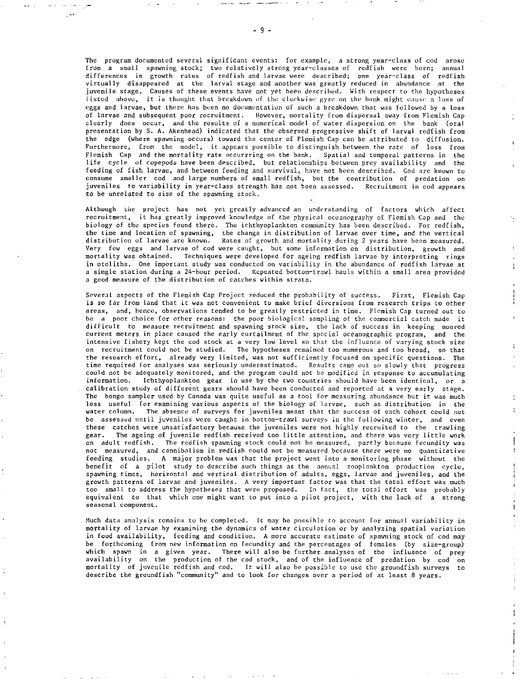The program documented several significant events: for example, a strong year-class of cod arose from a small spawning stock; two relatively strong year-classes of redfish were born; annual differences in growth rates of redfish and larvae were described; one year-class of redfish virtually disappeared at the larval stage and another was greatly reduced in abundance at the juvenile stage. Causes of these events have not yet been described. With respect to the hypotheses listed above, it is thought that breakdown of the clockwise gyro on the hank might cause a loss of eggs and larvae, but there has been no documentation of such a breakdown that was followed by a loss of larvae and subsequent poor recruitment. However, mortality from dispersal away from Flemish Cap clearly does occur, and the results of a numerical model of water dispersion on the bank (oral presentation by S. A. Akenhead) indicated that the observed progressive shift of larval redfish from the edge (where spawning occurs) toward the center of Flemish Cap can be attributed to diffusion. Furthermore, from the model, it appears possible to distinguish between the rate of loss from Flemish Cap and the mortality rate occurrring on the bank. Spatial and temporal patterns in the life cycle of copepods have been described, but relationships between prey availability and the feeding of fish larvae, and between feeding and survival, have not been described. Cod are known to consume smaller cod and Large numbers of small redfish, but the contribution of predation on juveniles to variability in year-class strength has not been assessed. Recruitment in cod appears to be unrelated to size of the spawning stock.

Although the project has not yet greatly advanced an understanding of factors which affect recruitment, it has greatly improved knowledge of the physical oceanography of Flemish Cap and the biology of the species found there. The ichthyoplankton community has been described. For redfish, the time and location of spawning, the change in distribution of larvae over time, and the vertical<br>distribution of larvae are known. Rates of growth and mortality during 2 years have been measured. Rates of growth and mortality during 2 years have been measured. Very few eggs and larvae of cod were caught, but some information on distribution, growth and mortality was obtained. Techniques were developed for ageing redfish larvae by interpreting rings in otoliths. One important study was conducted on variability in the abundance of redfish larvae at a single station during a 24-hour period. Repeated bottom-trawl hauls within a small area provided a good measure of the distribution of catches within strata.

Ŧ

Several aspects of the Flemish Cap Project reduced the probability of success. First, Flemish Cap is so far from land that it was not convenient to make brief diversions from research trips to other areas, and, hence, observations tended to be greatly restricted in time. Flemish Cap turned out to be a poor choice for other reasons: the poor biological sampling of the commercial catch made it difficult to measure recruitment and spawning stock size, the lack of success in keeping moored current meters in place caused the early curtailment of the special oceanographic program, and the intensive fishery kept the cod stock at a very low level so that the influence of varying stuck size on recruitment could not be studied. The hypotheses remained too numerous and too broad, so that the research effort, already very limited, was not sufficiently focused on specific questions. The time required for analyses was seriously underestimated. Results came out so slowly that progress could not be adequately monitored, and the program could not be modified in response to accumulating information. Ichthyoplankton gear in use by the two countries should have been identical, or a calibration study of different gears should have been conducted and reported at a very early stage. The bongo sampler used by Canada was quite useful as a tool for measuring abundance but it was much less useful for examining various aspects of the biology of larvae, such as distribution in the water column. The absence of surveys for juveniles meant that the success of each cohort could not be assessed until juveniles were caught in bottom-trawl surveys in the following winter, and even these catches were unsatisfactory because the juveniles were not highly recruited to the trawling gear. The ageing of juvenile redfish received too little attention, and there was very little work on adult redfish. The redfish spawning stock could not be measured, partly because fecundity was not measured, and cannibalism in redfish could not be measured because there were no quantitative feeding studies. A major problem was that the project went into a monitoring phase without the benefit of a pilot study to describe such things as the annual zooplankton production cycle, spawning times, horizontal and vertical distribution of adults, eggs, larvae and juveniles, and the growth patterns of larvae and juveniles. A very important factor was that the total effort was much too small to address the hypotheses that were proposed. In fact, the total effort was probably equivalent to that which one might want to put into a pilot project, with the lack of a strong seasonal component.

Much data analysis remains to he completed. It may be possible to account for annual variability in mortality of larvae by examining the dynamics of water circulation or by analyzing spatial variation in food availability, feeding and condition. A more accurate estimate of spawning stock of cod may be forthcoming from new information on fecundity and the percentages of females (by size-group) which spawn in a given year. There will also be further analyses of the influence of prey availability on the production of the cod stock, and of the influence of predation by cod on mortality of juvenile redfish and cod. It will also be possible to use the groundfish surveys to describe the groundfish "community" and to look for changes over a period of at least 8 years.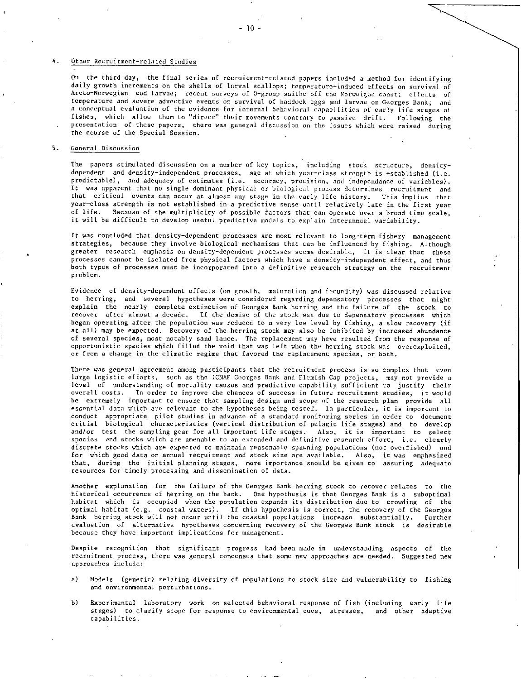## Other Recruitment-related Studies

On the third day, the final series of recruitment-related papers included a method for identifying daily growth increments on the shells of larval scallops; temperature-induced effects on survival of Arcto-Norwegian cod larvae; recent surveys of 0-group saithe off the Norweigan coast; effects of temperature and severe advective events on survival of haddock eggs and larvae on Georges Bank; and a conceptual evaluation of the evidence for internal behavioral capabilities of early life stages of fishes, which allow them to "direct" their movements contrary to passive drift. Following the presentation of these papers, there was general discussion on the issues which were raised during the course of the Special Session.

## 5. General Discussion

The papers stimulated discussion on a number of key topics, including stock structure, densitydependent and density-independent processes, age at which year-class strength is established (i.e. predictable), and adequacy of estimates (i.e. accuracy, precision, and independance of variables). it was apparent that no single dominant physical or biological process determines recruitment and that critical events can occur at almost any stage in the early life history. This implies that year-class strength is not established in a predictive sense until relatively late in the first year of life. Because of the multiplicity of possible factors that can operate over a broad time-scale, it will be difficult to develop useful predictive models to explain interannual variability.

It was concluded that density-dependent processes are most relevant to long-term fishery management strategies, because they involve biological mechanisms that can be influenced by fishing. Although greater research emphasis on density-dependent processes seems desirable, it is clear that these processes cannot be isolated from physical factors which have a density-independent effect, and thus .<br>both types of processes must be incorporated into a definitive research strategy on the recruitment problem.

Evidence of density-dependent effects (on growth, maturation and fecundity) was discussed relative to herring, and several hypotheses were considered regarding depensatory processes that might explain the nearly complete extinction of Georges Bank herring and the failure of the stock to recover after almost a decade. If the demise of the stock was due to depensatory processes which began operating after the population was reduced to a very low level by fishing, a slow recovery (if at all) may be expected. Recovery of the herring stock may also be inhibited by increased abundance of several species, most notably sand lance. The replacement may have resulted from the response of opportunistic species which filled the void that was left when the herring stock was overexploited, or from a change in the climatic regime that favored the replacement species, or both.

There was general agreement among participants that the recruitment process is so complex that even large logistic efforts, such as the ICNAF Georges Bank and Flemish Cap projects, may not provide a level of understanding of mortality causes and predictive capability sufficient to justify their overall costs. In order to improve the chances of success in future recruitment studies, it would be extremely important to ensure that sampling design and scope of the research plan provide all essential data which are relevant to the hypotheses being tested. In particular, it is important to conduct appropriate pilot studies in advance of a standard monitoring series in order to document critial biological characteristics (vertical distribution of pelagic life stages) and to develop and/or test the sampling gear for all important life stages. Also, it is important to select species and stocks which are amenable to an extended and definitive research effort, i.e. clearly discrete stocks which are expected to maintain reasonable spawning populations (not overfished) and for which good data on annual recruitment and stock size are available. Also, it was emphasized that, during the initial planning stages, more importance should be given to assuring adequate resources for timely processing and dissemination of data.

Another explanation for the failure of the Georges Bank herring stock to recover relates to the historical occurrence of herring on the bank. One hypothesis is that Georges Bank is a suboptimal habitat which is occupied when the population expands its distribution due to crowding of the optimal habitat (e.g. coastal waters). If this hypothesis is correct, the recovery of the Georges Bank herring stock will not occur until the coastal populations increase substantially. Further evaluation of alternative hypotheses concerning recovery of the Georges Bank stock is desirable because they have important implications for management.

Despite recognition that significant progress had been made in understanding aspects of the recruitment process, there was general concensus that some new approaches are needed. Suggested new approaches include:

- a) Models (genetic) relating diversity of populations to stock size and vulnerability to fishing and environmental perturbations.
- b) Experimental laboratory work on selected behavioral response of fish (including early life stages) to clarify scope for response to environmental cues, stresses, and other adaptive capabilities.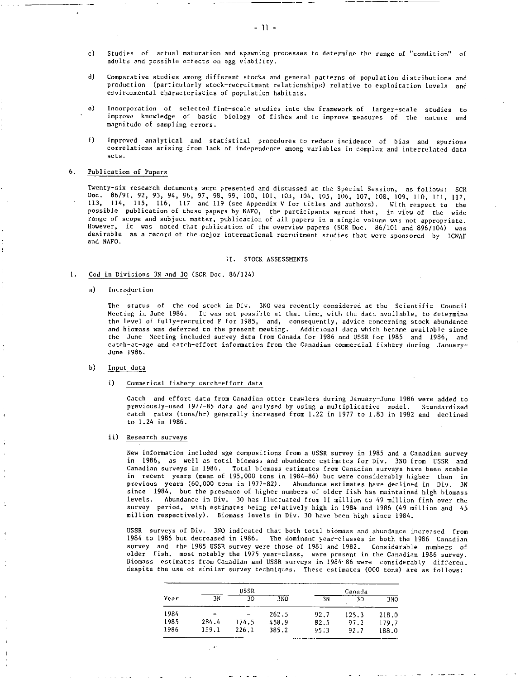- c) Studies of actual maturation and spawning processes to determine the range of "condition" of adults and possible effects on egg viability,
- d) Comparative studies among different stocks and general patterns of population distributions and production (particularly stock-recruitment relationships) relative to exploitation levels and environmental characteristics of population habitats.
- e) Incorporation of selected fine-scale studies into the framework of larger-scale studies to improve knowledge of basic biology of fishes and to improve measures of the nature and magnitude of sampling errors.
- f) Improved analytical and statistical procedures to reduce incidence of bias and spurious correlations arising from lack of independence among variables in complex and interrelated data sets.

## 6. Publication of Papers

Twenty-six research documents were presented and discussed at the Special Session, as follows: SCR Doc. 86/91, 92, 93, 94, 96, 97, 98, 99, 100, 101, 103, 104, 105, 106, 107, 108, 109, 110, 111, 112, 113, 114, 115, 116, 117 and 119 (see Appendix V for titles and authors). With respect to the possible publication of these papers by NAFO, the participants agreed that, in view of the wide range of scope and subject matter, publication of all papers in a single volume was not appropriate. However, it was noted that publication of the overview papers (SCR Doc. 86/101 and 896/104) was desirable as a record of the major international recruitment studies that were sponsored by ICNAF and NAFO.

## II. STOCK ASSESSMENTS

- 1. Cod in Divisions 3N and 30 (SCR Doc. 86/124)
	- a) Introduction

The status of the cod stock in Div. 3N0 was recently considered at the Scientific Council Meeting in June 1986. It was not possible at that time, with the data available, to determine the level of fully-recruited F for 1985, and, consequently, advice concerning stock abundance and biomass was deferred to the present meeting. Additional data which became available since the June Meeting included survey data from Canada for 1986 and USSR for 1985 and 1986, and catch-at-age and catch-effort information from the Canadian commercial fishery during January-June 1986.

# b) Input data

i) Commerical fishery catch-effort data

Catch and effort data from Canadian otter trawlers during January-June 1986 were added to previously-used 1977-85 data and analysed by using a multiplicative model. Standardized catch rates (tons/hr) generally increased from 1.22 in 1977 to 1.83 in 1982 and declined to 1.24 in 1986.

ii) Research surveys

New information included age compositions from a USSR survey in 1985 and a Canadian survey in 1986, as well as total biomass and abundance estimates for Div. 3NO from USSR and Canadian surveys in 1986. Total biomass estimates from Canadian surveys have been stable in recent years (mean of 195,000 tons in 1984-86) but were considerably higher than in previous years (60,000 tons in 1977-82). Abundance estimates have declined in Div. 3N since 1984, but the presence of higher numbers of older fish has maintained high biomass levels. Abundance in Div. 30 has fluctuated from 11 million to 49 million fish over the survey period, with estimates being relatively high in 1984 and 1986 (49 million and 45 million respectively). Biomass levels in Div. 30 have been high since 1984.

USSR surveys of Div. 3N0 indicated that both total biomass and abundance increased from 1984 to 1985 but decreased in 1986. The dominant year-classes in both the 1986 Canadian survey and the 1985 USSR survey were those of 1981 and 1982. Considerable numbers of older fish, most notably the 1975 year-class, were present in the Canadian 1986 survey. Biomass estimates from Canadian and USSR surveys in 1984-86 were considerably different despite the use of similar survey techniques. These estimates (000 tons) are as follows:

|      |       | <b>USSR</b>              |       | Canada |       |       |
|------|-------|--------------------------|-------|--------|-------|-------|
| Year | 3N    | 30                       | 3NO   | 3Ν     | 30    | 3NO   |
| 1984 |       | $\overline{\phantom{0}}$ | 262.5 | 92.7   | 125.3 | 218.0 |
| 1985 | 284.4 | 174.5                    | 458.9 | 82.5   | 97.2  | 179.7 |
| 1986 | 159.1 | 226.1                    | 385.2 | 95.3   | 92.7  | 188.0 |

 $-11 -$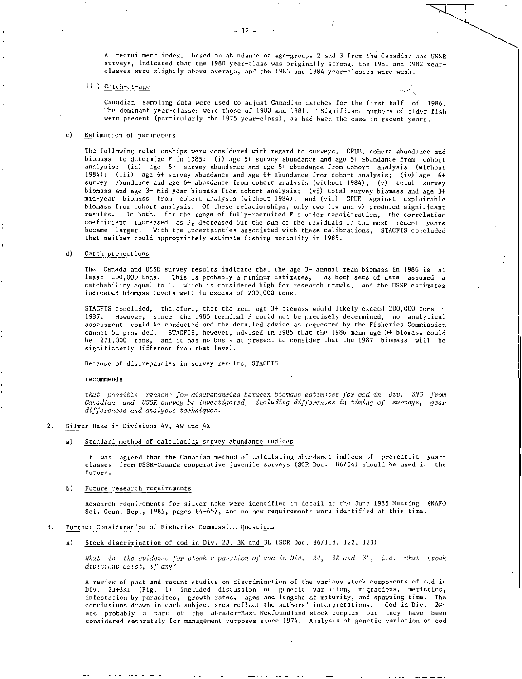A recruitment index, based on abundance of age-groups 2 and 3 from the Canadian and USSR surveys, indicated that the 1980 year-class was originally strong, the 1981 and 1982 yearclasses were slightly above average, and the 1983 and 1984 year-classes were weak,

## iii) Catch-at-age

Canadian sampling data were used to adjust Canadian catches for the first half of 1986. The dominant year-classes were those of 1980 and 1981. Significant numbers of older fish were present (particularly the 1975 year-class), as had been the case in recent years.

1940au

#### c) Estimation of parameters

The following relationships were considered with regard to surveys, CPUE, cohort abundance and biomass to determine F in 1985: (i) age 5+ survey abundance and age 5+ abundance from cohort analysis; (ii) age 5+ survey abundance and age 5+ abundance from cohort analysis (without 1984); (iii) age 6+ survey abundance and age 6+ abundance from cohort analysis; (iv) age 6+ survey abundance and age 6+ abundance from cohort analysis (without 1984); (v) total survey biomass and age 3+ mid-year biomass from cohort analysis; (vi) total survey biomass and age 3+ mid-year biomass from cohort analysis (without 1984); and (vii) CPUE against ,exploitable biomass from cohort analysis. Of these relationships, only two (iv and v) produced significant results. In both, for the range of fully-recruited F's under consideration, the correlation coefficient increased as  $F_t$  decreased but the sum of the residuals in the most recent years became larger. With the uncertainties associated with these calibrations, STACFIS concluded that neither could appropriately estimate fishing mortality in 1985.

## d) Catch projections

The Canada and USSR survey results indicate that the age 3+ annual mean biomass in 1986 is at least 200,000 tons. This is probably a minimum estimates, as both sets of data assumed a catchability equal to 1, which is considered high for research trawls, and the USSR estimates indicated biomass levels well in excess of 200,000 tons.

STACFIS concluded, therefore, that the mean age 3+ biomass would likely exceed 200,000 tons in 1987. However, since the 1985 terminal F could not be precisely determined, no analytical assessment could be conducted and the detailed advice as requested by the Fisheries Commission cannot be provided. STACFIS, however, advised in 1985 that the 1986 mean age 3+ biomass could be 271,000 tons, and it has no basis at present to consider that the 1987 biomass will be significantly different from that level.

Because of discrepancies in survey results, STACFIS

#### recommends

*that possible reasons for discrepancies between biomass estimates for cod in Div. 3N0 from Canadian and USSR survey be investigated, including differences in timing of surveys, gear differences and analysis techniques.* 

#### $2<sub>1</sub>$ Silver Hake in Divisions 4V, 4W and 4X

a) Standard method of calculating survey abundance indices

It was agreed that the Canadian method of calculating abundance indices of prerecruit yearclasses from USSR-Canada cooperative juvenile surveys (SCR Doc. 86/54) should be used in the future.

#### b) Future research requirements

Research requirements for silver hake were identified in detail at the June 1985 Meeting (NAFO Sci. Coun. Rep., 1985, pages 64-65), and no new requirements were identified at this time.

#### 3. Further Consideration of Fisheries Commission Questions

a) Stock discrimination of cod in Div. 2J, 3K and 3L (SCR Doc. 86/118, 122, 123)

*What is the evidence for stock apparation of cod in Div. 23, 3K and 3L, i.e. what stock divisions exist, if any?* 

A review of past and recent studies on discrimination of the various stock components of cod in Div. 2J+3KL (Fig. 1) included discussion of genetic variation, migrations, meristics, infestation by parasites, growth rates, ages and lengths at maturity, and spawning time. The conclusions drawn in each subject area reflect the authors' interpretations. Cod in Div. 2GH are probably a part of the Labrador-East Newfoundland stock complex but they have been considered separately for management purposes since 1974. Analysis of genetic variation of cod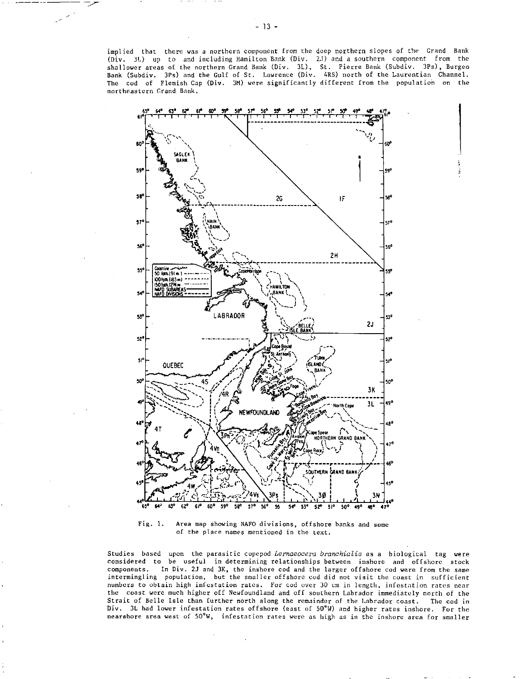implied that there was a northern component from the deep northern slopes of the Grand Bank (Div. 3L) up to and including Hamilton Bank (Div. 2J) and a southern component from the shallower areas of the northern Grand Bank (Div. 3L), St. Pierre Bank (Subdiv. 3Ps), Burgeo Bank (Subdiv. 3Ps) and the Gulf of St. Lawrence (Div. 4RS) north of the Laurentian Channel. The cod of Flemish Cap (Div. 3M) were significantly different from the population on the northeastern Grand Bank.



Fig. 1. Area map showing NAFO divisions, offshore banks and some of the place names mentioned in the text.

Studies based upon the parasitic copepod *Lernaeocera branchialis* as a biological tag were considered to be useful in determining relationships between inshore and offshore stock components. In Div. 2J and 3K, the inshore cod and the larger offshore cod were from the same intermingling population, but the smaller offshore cod did not visit the coast in sufficient numbers to obtain high infestation rates. For cod over 30 cm in length, infestation rates near the coast were much higher off Newfoundland and off southern Labrador immediately north of the Strait of Belle Isle than further north along the remainder of the Labrador coast. The cod in Div. 3L had lower infestation rates offshore (east of 50°W) and higher rates inshore. For the nearshore area west of 50°W, infestation rates were as high as in the inshore area for smaller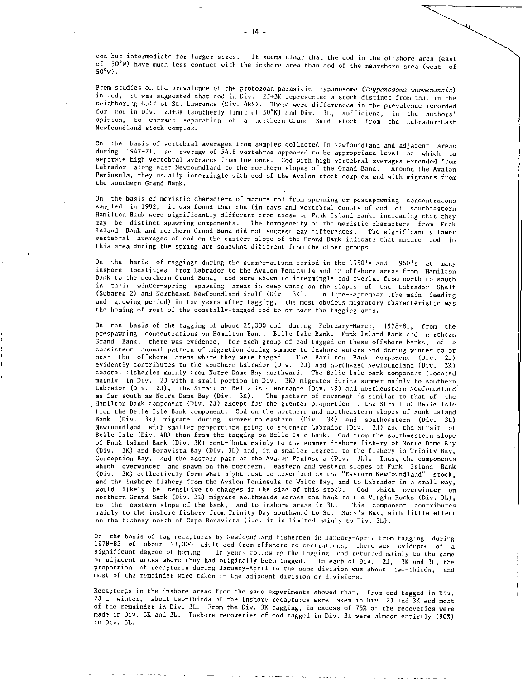cod but intermediate for larger sizes. It seems clear that the cod in the offshore area (east of 50°W) have much less contact with the inshore area than cod of the nearshore area (west of  $50^\circ$ W).

From studies on the prevalence of the protozoan parasitic trypanosome *(Trypanosome mumenensis)*  in cod, it was suggested that cod in Div. 2J+3K represented a stock distinct from that in the neighboring Gulf of St. Lawrence (Div. 4RS). There were differences in the prevalence recorded for cod in Div. 2J+3K (southerly limit of 50 ° N) and Div. 3L, sufficient, in the authors' opinion, to warrant separation of a northern Grand Band stock from the Labrador-East Newfoundland stock complex.

On the basis of vertebral averages from samples collected in Newfoundland and adjacent areas during 1947-71, an average of 54.8 vertebrae appeared to be appropriate level at which to separate high vertebral averages from low ones. Cod with high vertebral averages extended from Labrador along east Newfoundland to the northern slopes of the Grand Bank. Around the Avalon Peninsula, they usually intermingle with cod of the Avalon stock complex and with migrants from the southern Grand Bank.

On the basis of meristic characters of mature cod from spawning or postspawning concentratons sampled in 1982, it was found that the fin-rays and vertebral counts of cod of southeastern Hamilton Bank were significantly different from those on Funk Island Bank, indicating that they may be distinct spawning components. The homogeneity of the meristic characters from Funk Island Bank and northern Grand Bank did not suggest any differences. The significantly lower vertebral averages of cod on the eastern slope of the Grand Bank indicate that mature cod in this area during the spring are somewhat different from the other groups.

On the basis of taggings during the summer-autumn period in the 1950's and 1960's at many inshore localities from Labrador to the Avalon Peninsula and in offshore areas from Hamilton Bank to the northern Grand Bank, cod were shown to intermingle and overlap from north to south in their winter-spring spawning areas in deep water on the slopes of the Labrador Shelf (Subarea 2) and Northeast Newfoundland Shelf (Div. 3K). In June-September (the main feeding and growing period) in the years after tagging, the most obvious migratory characteristic was the homing of most of the coastally-tagged cod to or near the tagging area.

On the basis of the tagging of about 25,000 cod during February-March, 1978-81, from the prespawning concentrations on Hamilton Bank, Belle Isle Bank, Funk Island Bank and northern Grand Bank, there was evidence, for each group of cod tagged on these offshore banks, of a consistent annual pattern of migration during summer to inshore waters and during winter to or near the offshore areas where they were tagged. The Hamilton Bank component (Div. 2J) evidently contributes to the southern Labrador (Div. 2J) and northeast Newfoundland (Div. 3K) coastal fisheries mainly from Notre Dame Bay northward. The Belle Isle Bank component (located mainly in Div. 2J with a small portion in Div. 3K) migrates during summer mainly to southern Labrador (Div. 2J), the Strait of Belle Isle entrance (Div. 4R) and northeastern Newfoundland as far south as Notre Dame Bay (Div. 3K). The pattern of movement is similar to that of the Hamilton Bank component (Div. 2J) except for the greater proportion in the Strait of Belle Isle from the Belle Isle Bank component. Cod on the northern and northeastern slopes of Funk Island Bank (Div. 3K) migrate during summer to eastern (Div. 3K) and southeastern (Div. 3L) Newfoundland with smaller proportions going to southern Labrador (Div. 2J) and the Strait of Belle Isle (Div. 4R) than from the tagging on Belle Isle Bank. Cod from the southwestern slope of Funk Island Bank (Div. 3K) contribute mainly to the summer inshore fishery of Notre Dame Bay (Div. 3K) and Bonavista Bay (Div. 3L) and, in a smaller degree, to the fishery in Trinity Bay, Conception Bay, and the eastern part of the Avalon Peninsula (Div. 3L). Thus, the components which overwinter and spawn on the northern, eastern and western slopes of Funk Island Bank (Div. 3K) collectively form what might best be described as the "Eastern Newfoundland" stock, and the inshore fishery from the Avalon Peninsula to White Bay, and to Labrador in a small way, would likely be sensitive to changes in the size of this stock. Cod which overwinter on northern Grand Bank (Div. 3L) migrate southwards across the bank to the Virgin Rocks (Div. 3L), to the eastern slope of the bank, and to inshore areas in 3L. This component contributes mainly to the inshore fishery from Trinity Bay southward to St. Mary's Bay, with little effect on the fishery north of Cape Bonavista (i.e. it is limited mainly to Div. 3L).

On the basis of tag recaptures by Newfoundland fishermen in January-April from tagging during 1978-83 of about 33,000 adult cod from offshore concentrations, there was evidence of a significant degree of homing. In years following the tagging, cod returned mainly to the same or adjacent areas where they had originally been tagged. In each of Div. 2J, 3K and 3L, the proportion of recaptures during January-April in the same division was about two-thirds, and most of the remainder were taken in the adjacent division or divisions.

Recaptures in the inshore areas from the same experiments showed that, from cod tagged in Div. 2J in winter, about two-thirds of the inshore recaptures were taken in Div. 2J and 3K and most of the remainder in Div. 3L. From the Div. 3K tagging, in excess of 75% of the recoveries were made in Div. 3K and 3L. Inshore recoveries of cod tagged in Div. 3L were almost entirely (90%)<br>. in Div. 3L.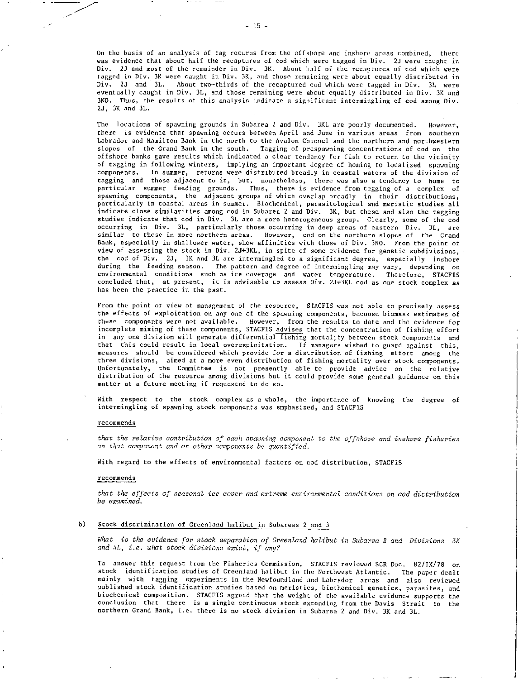On the basis of an analysis of tag returns from the offshore and inshore areas combined, there was evidence that about half the recaptures of cod which were tagged in Div. 2J were caught in Div. 2J and most of the remainder in Div. 3K. About half of the recaptures of cod which were tagged in Div. 3K were caught in Div. 3K, and those remaining were about equally distributed in Div. 2J and 3L. About two-thirds of the recaptured cod which were tagged in Div. 3L were eventually caught in Div. 3L, and those remaining were about equally distributed in Div. 3K and 3N0. Thus, the results of this analysis indicate a significant intermingling of cod among Div. 2J, 3K and 3L.

The locations of spawning grounds in Subarea 2 and Div. SKI are poorly documented. However, there is evidence that spawning occurs between April and June in various areas from southern Labrador and Hamilton Bank in the north to the Avalon Channel and the northern and northwestern slopes of the Grand Bank in the south. Tagging of prespawning concentrations of cod on the offshore banks gave results which indicated a clear tendency for fish to return to the vicinity of tagging in following winters, implying an important degree of homing to localized spawning components. In summer, returns were distributed broadly in coastal waters of the division of tagging and those adjacent to it, but, nonetheless, there was also a tendency to home to particular summer feeding grounds. Thus, there is evidence from tagging of a complex of spawning components, the adjacent groups of which overlap broadly in their distributions, particularly in coastal areas in summer. Biochemical, parasitological and meristic studies all indicate close similarities among cod in Subarea 2 and Div. 3K, but these and also the tagging studies indicate that cod in Div. 3L are a more heterogeneous group. Clearly, some of the cod occurring in Div. 3L, particularly those occurring in deep areas of eastern Div. 3L, are similar to those in more northern areas. However, cod on the northern slopes of the Grand Bank, especially in shallower water, show affinities with those of Div. 3N0. From the point of view of assessing the stock in Div. 2J+3KL, in spite of some evidence for genetic subdivisions, the cod of Div. 2J, 3K and 3L are intermingled to a significant degree, especially inshore during the feeding season. The pattern and degree of intermingling may vary, depending on environmental conditions such as ice coverage and water temperature. Therefore, STACFIS concluded that, at present, it is advisable to assess Div. 2J+3KL cod as one stock complex as has been the practice in the past.

From the point of view of management of the resource, STACFIS was not able to precisely assess the effects of exploitation on any one of the spawning components, because biomass estimates of these components were not available. However, from the results to date and the evidence for incomplete mixing of these components, STACFIS advises that the concentration of fishing effort in any one division will generate differential fishing mortality between stock components and that this could result in local overexploitation. If managers wished to guard against this, measures should be considered which provide for a distribution of fishing effort among the three divisions, aimed at a more even distribution of fishing mortality over stock components. Unfortunately, the Committee is nor presently able to provide advice on the relative distribution of the resource among divisions but it could provide some general guidance on this matter at a future meeting if requested to do so.

With respect to the stock complex as a whole, the importance of knowing the degree of intermingling of spawning stock components was emphasized, and STACFIS

#### recommends

*that the relative contribution of each spawning component to the offshore and inshore fisheries on that component and on other components be quantified.* 

With regard to the effects of environmental factors on cod distribution, STACFIS

#### recommends

*that the effects of seasonal ice cover and extreme environmental conditions on cod distribution be examined.* 

## b) Stock discrimination of Greenland halibut in Subareas 2 and 3

*What is the evidence for stock separation of Greenland halibut in Subarea 2 and Divisions 3K and 35, i.e. what stock divisions exist, if any?* 

To answer this request from the Fisheries Commission, STACFIS reviewed SCR Doc. 82/1X/78 on stock identification studies of Greenland halibut in the Northwest Atlantic. The paper dealt mainly with tagging experiments in the Newfoundland and Labrador areas and also reviewed published stock identification studies based on meristics, biochemical genetics, parasites, and biochemical composition. STACFIS agreed that the weight of the available evidence supports the conclusion that there is a single continuous stock extending from the Davis Strait to the northern Grand Bank, i.e. there is no stock division in Subarea 2 and Div. 3K and 3L.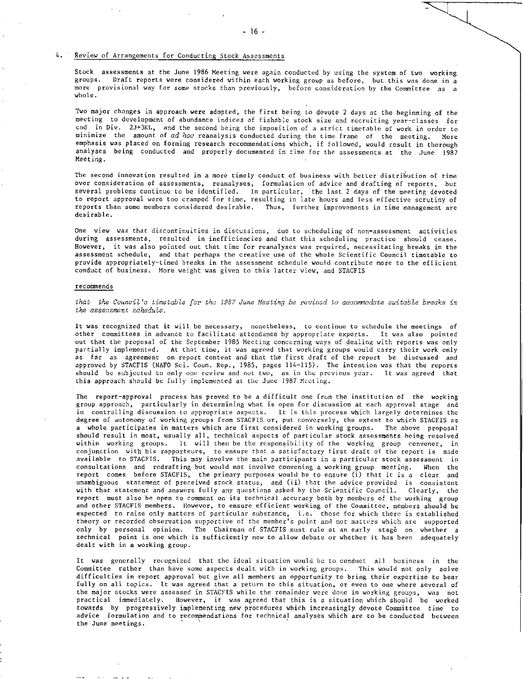## 4. Review of Arrangements for Conducting Stock Assessments

Stock assessments at the June 1986 Meeting were again conducted by using the system of two working groups. Draft reports were considered within each working group as before, but this was done in a more provisional way for some stocks than previously, before consideration by the Committee as a whole.

Two major changes in approach were adopted, the first being to devote 2 days at the beginning of the meeting to development of abundance indices of fishable stock size and recruiting year-classes for cod in Div. 2J+3KL, and the second being the imposition of a strict timetable of work in order to minimize the amount of *ad hoc* reanalysis conducted during the time frame of the meeting. More emphasis was placed on forming research recommendations which, if followed, would result in thorough analyses being conducted and properly documented in time for the assessments at the June 1987 Meeting.

The second innovation resulted in a more timely conduct of business with better distribution of time over consideration of assessments, reanalyses, formulation of advice and drafting of reports, but several problems continue to be identified. In particular, the last 2 days of the meeting devoted to report approval were too cramped for time, resulting in late hours and less effective scrutiny of reports than some members considered desirable. Thus, further improvements in time management are desirable.

One view was that discontinuities in discussions, due to scheduling of non-assessment activities during assessments, resulted in inefficiencies and that this scheduling practice should cease. However, it was also pointed out that time for reanalyses was required, necessitating breaks in the assessment schedule, and that perhaps the creative use of the whole Scientific Council timetable to provide appropriately-timed breaks in the assessment schedule would contribute more to the efficient conduct of business. More weight was given to this latter view, and STACFIS

## recommends

*that the Council's timetable for the 198? June Meeting be revised to accommodate suitable breaks in the assessment schedule.* 

It was recognized that it will be necessary, nonetheless, to continue to schedule the meetings of other committees in advance to facilitate attendance by appropriate experts. It was also pointed out that the proposal of the September 1985 Meeting concerning ways of dealing with reports was only partially implemented. At that time, it was agreed that working groups would carry their work only as far as agreement on report content and that the first draft of the report be discussed and approved by STACFIS (NAFO Sci. Coun. Rep., 1985, pages 114-115). The intention was that the reports should he subjected to only one review and not two, as in the previous year. It was agreed that this approach should be fully implemented at the June 1987 Meeting.

The report-approval process has proved to be a difficult one from the institution of the working group approach, particularly in determining what is open for discussion at each approval stage and in controlling discussion to appropriate aspects. It is this process which largely determines the degree of autonomy of working groups from STACFIS or, put conversely, the extent to which STACFIS as a whole participates in matters which are first considered in working groups. The above proposal should result in most, usually all, technical aspects of particular stock assessments being resolved within working groups. It will then be the responsibility of the working group convener, in conjunction with his rapporteurs, to ensure that a satisfactory first draft of the report is made available to STACFIS. This may involve the main participants in a particular stock assessment in consultations and redrafting but would not involve convening a working group meeting. When the report comes before STACFIS, the primary purposes would be to ensure (i) that it is a clear and unambiguous statement of preceived stock status, and (ii) that the advice provided is consistent with that statement and answers fully any questions asked by the Scientific Council. Clearly, the report must also be open to comment on its technical accuracy both by members of the working group and other STACFIS members. However, to ensure efficient working of the Committee, members should be expected to raise only matters of particular substance, i.e. those for which there is established theory or recorded observation supportive of the member's point and not matters which are supported only by personal opinion. The Chairman of STACFIS must rule at an early stage on whether a technical point is one which is sufficiently new to allow debate or whether it has been adequately dealt with in a working group.

It was generally recognized that the ideal situation would be to conduct all business in the Committee rather than have some aspects dealt with in working groups. This would not only solve difficulties in report approval but give all members an opportunity to bring their expertise to bear fully on all topics. It was agreed that a return to this situation, or even to one where several of the major stocks were assessed in STACFIS while the remainder were done in working groups, was not practical immediately. However, it was agreed that this is a situation which should be worked towards by progressively implementing new procedures which increasingly devote Committee time to advice formulation and to recommendations for technical analyses which are to be conducted between the June meetings.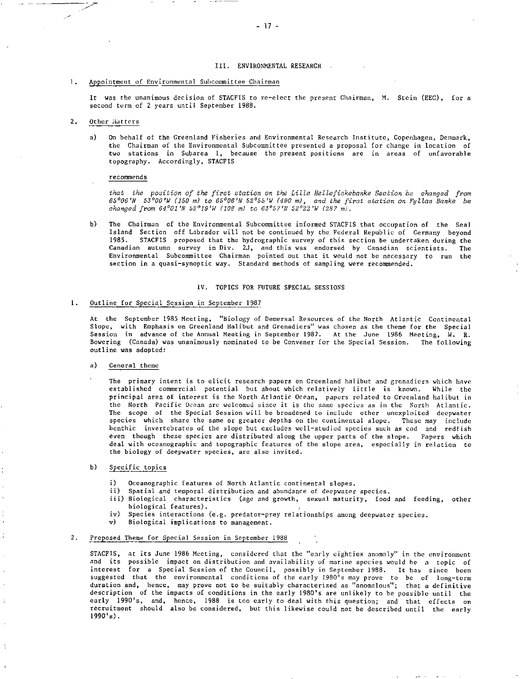## III. ENVIRONMENTAL RESEARCH

## 1. Appointment of Environmental Subcommittee Chairman

It was the unanimous decision of STACFIS to re-elect the present Chairman, M. Stein (EEC), for a second term of 2 years until September 1988.

- 2. Other Hatters
	- a) On behalf of the Greenland Fisheries and Environmental Research Institute, Copenhagen, Denmark, the Chairman of the Environmental Subcommittee presented a proposal for change in location of two stations in Subarea 1, because the present positions are in areas of unfavorable topography. Accordingly, STACFIS

### recommends

*that the position of the first station on the Lille Hellefiskebanke Section be changed from 65* °*06'N 53* ° *00'W (150 m) to 65* °*06'N 52* ° *55'W (490 m), and the first station on Syllas Banke be changed from 64* °*01'N 52* ° *19'W (108 m) to 63* ° *57'N 52* °*22'W (287 m).* 

b) The Chairman of the Environmental Subcommittee informed STACFIS that occupation of the Seal Island Section off Labrador will not be continued by the Federal Republic of Germany beyond 1985. STACFIS proposed that the hydrographic survey of this section be undertaken during the Canadian autumn survey in Div. 2J, and this was endorsed by Canadian scientists. The Environmental Subcommittee Chairman pointed out that it would not be necessary to run the section in a quasi-synoptic way. Standard methods of sampling were recommended.

## IV. TOPICS FOR FUTURE SPECIAL SESSIONS

#### 1. Outline for Special Session in September 1987

At the September 1985 Meeting, "Biology of Demersal Resources of the North Atlantic Continental Slope, with Emphasis on Greenland Halibut and Grenadiers" was chosen as the theme for the Special Session in advance of the Annual Meeting in September 1987. At the June 1986 Meeting, W. R. Bowering (Canada) was unanimously nominated to be Convener for the Special Session. The following outline was adopted:

a) General theme

The primary intent is to elicit research papers on Greenland halibut and grenadiers which have established commercial potential but about which relatively little is known. While the principal area of interest is the North Atlantic Ocean, papers related to Greenland halibut in the North Pacific Ocean are welcomed since it is the same species as in the North Atlantic. The scope of the Special Session will be broadened to include other unexploited deepwater species which share the same or greater depths on the continental slope. These may include benthic invertebrates of the slope but excludes well-studied species such as cod and redfish even though these species are distributed along the upper parts of the slope. Papers which deal with oceanographic and topographic features of the slope area, especially in relation to the biology of deepwater species, are also invited.

## b) Specific topics

- i) Oceanographic features of North Atlantic continental slopes.
- ii) Spatial and temporal distribution and abundance of deepwater species.
- iii) Biological characteristics (age and growth, sexual maturity, food and feeding, other biological features).
- iv) Species interactions (e.g. predator-prey relationships among deepwater species.
- v) Biological implications to management.

# 2. Proposed Theme for Special Session in September 1988

STACFIS, at its June 1986 Meeting, considered that the "early eighties anomaly" in the environment and its possible impact on distribution and availability of marine species would be a topic of interest for a Special Session of the Council, possibly in September 1988. It has since been suggested that the environmental conditions of the early 1980's may prove to be of long-term duration and, hence, may prove not to be suitably characterized as "anomalous"; that a definitive description of the impacts of conditions in the early 1980's are unlikely to be possible until the early 1990's, and, hence, 1988 is too early to deal with this question; and that effects on recruitment should also be considered, but this likewise could not be described until the early 1990's).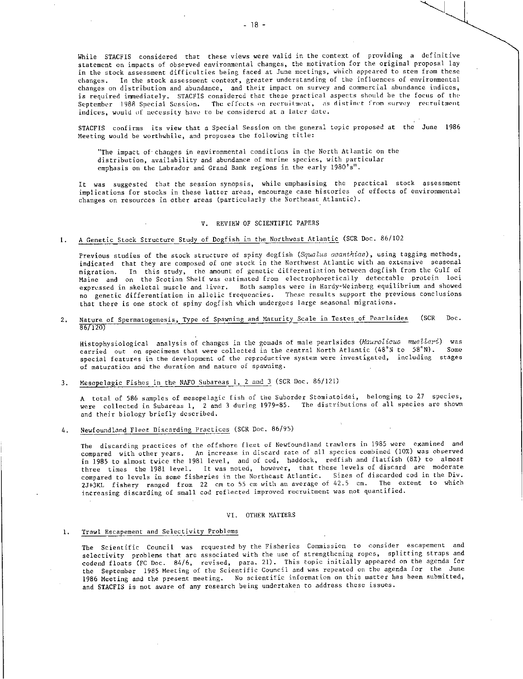While STACFIS considered that these views were valid in the context of providing a definitive statement on impacts of observed environmental changes, the motivation for the original proposal lay in the stock assessment difficulties being faced at June meetings, which appeared to stem from these changes. In the stock assessment context, greater understanding of the influences of environmental changes on distribution and abundance, and their impact on survey and commercial abundance indices, is required immediately. STACFIS considered that these practical aspects should be the focus of the September 1988 Special Session. The effects on reernilment, as distinct from survey recruitment indices, would of necessity have to be considered at a later date.

STACFIS confirms its view that a Special Session on the general topic proposed at the June 1986 Meeting would be worthwhile, and proposes the following title:

"The impact of . changes in environmental conditions in the North Atlantic on the distribution, availability and abundance of marine species, with particular emphasis on the Labrador and Grand Bank regions in the early 1980's".

It was suggested that the session synopsis, while emphasising the practical stock assessment implications for stocks in these latter areas, encourage case histories of effects of environmental changes on resources in other areas (particularly the Northeast Atlantic).

## V. REVIEW OF SCIENTIFIC PAPERS

# 1. A Genetic Stock Structure Study of Dogfish in the Northwest Atlantic (SCR Doc. 86/102

Previous studies of the stock structure of spiny dogfish *(Squalus acanthias),* using tagging methods, indicated that they are composed of one stock in the Northwest Atlantic with an extensive seasonal migration. In this study, the amount of genetic differentiation between dogfish from the Gulf of Maine and on the Scotian Shelf was estimated from electrophoretically detectable protein loci expressed in skeletal muscle and liver. Both samples were in Hardy-Weinberg equilibrium and showed no genetic differentiation in allelic frequencies. These results support the previous conclusions that there is one stock of spiny dogfish which undergoes large seasonal migrations.

2. Nature of Spermatogenesis, Type of Spawning and Maturity Scale in Testes of Pearlsides (SCR Doc. 86/120)

Histophysiological analysis of changes in the gonads of male pearlsides *(Maurolicus mualeri)* was carried out on specimens that were collected in the central North Atlantic (48°N to 58°N). Some special features in the development of the reproductive system were investigated, including stages of maturation and the duration and nature of spawning.

3. Mesopelagic Fishes in the NAFO Subareas 1, 2 and 3 (SCR Doc. 86/121)

A total of 586 samples of mesopelagic fish of the Suborder Stomiatoidei, belonging to 27 species, were collected in Subareas 1, 2 and 3 during 1979-85. The distributions of all species are shown and their biology briefly described.

4. Newfoundland Fleet Discarding Practices (SCR Doc. 86/95)

The discarding practices of the offshore fleet of Newfoundland trawlers in 1985 were examined and compared with other years. An increase in discard rate of all species combined (10%) was observed in 1985 to almost twice the 1981 level, and of cod, haddock, redfish and flatfish (8%) to almost three times the 1981 level. It was noted, however, that these levels of discard are moderate compared to levels in some fisheries in the Northeast Atlantic. Sizes of discarded cod in the Div. 2J+3KL fishery ranged from 22 cm to 55 cm with an average of 42.5 cm. The extent to which increasing discarding of small cod reflected improved recruitment was not quantified.

## VI. OTHER MATTERS

## 1. Trawl Escapement and Selectivity Problems

The Scientific Council was requested by the Fisheries Commission to consider escapement and selectivity problems that are associated with the use of strengthening ropes, splitting straps and codend floats (FC Doc. 84/6, revised, para. 21). This topic initially appeared on the agenda for the September 1985 Meeting of the Scientific Council and was repeated on the agenda for the June 1986 Meeting and the present meeting. No scientific information on this matter has been submitted, and STACFIS is not aware of any research being undertaken to address these issues.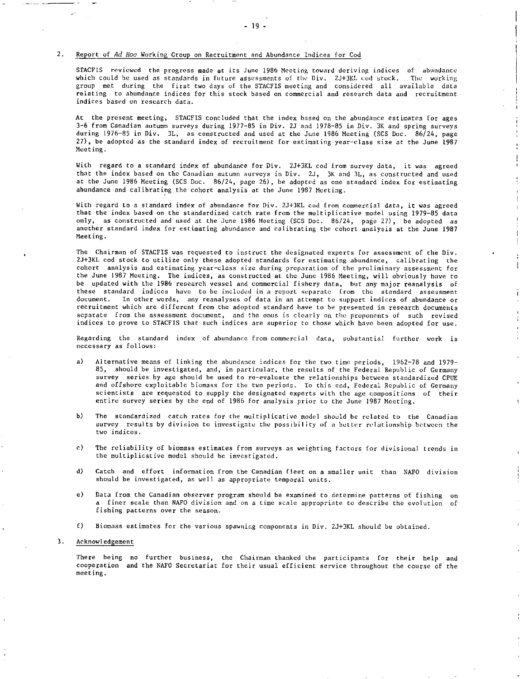#### 2. Report of *Ad Hoc* Working Group on Recruitment and Abundance Indices for Cod

STACFIS reviewed the progress made at its June 1986 Meeting toward deriving indices of abundance which could be used as standards in future assessments of the Div. 2J+3KL cud stock. The working group met during the first two days of the STACFIS meeting and considered all available data relating to abundance indices for this stock based on commercial and research data and recruitment indices based on research data.

-19-

At the present meeting, STACFIS concluded that the index based on the abundance estimates for ages 3-6 from Canadian autumn surveys during 1977-85 in Div. 2J and 1978-85 in Div. 3K and spring surveys during 1976-85 in Div. 3L, as constructed and used at the June 1986 Meeting (SCS Doc. 86/24, page 27), be adopted as the standard index of recruitment for estimating year-class size at the June 1987 Meeting.

With regard to a standard index of abundance for Div. 2J+3KL cod from survey data, it was agreed that the index based on the Canadian autumn surveys in Div. 2J, 3K and 3L, as constructed and used at the June 1986 Meeting (SCS Doc. 86/24, page 26), be adopted as one standard index for estimating abundance and calibrating the cohort analysis at the June 1987 Meeting.

With regard to a standard index of abundance for Div. 2J+3KL cod from commercial data, it was agreed that the index based on the standardized catch rate from the multiplicative model using 1979-85 data only, as constructed and used at the June 1986 Meeting (SCS Doc. 86/24, page 27), be adopted as another standard index for estimating abundance and calibrating the cohort analysis at the June 1987 Meeting.

 $\ddot{\ddot{z}}$  $\mathbf I$ 

Ï  $\mathbf{I}$ 

ì

ţ.

ţ

ī.

Ł

The Chairman of STACFIS was requested to instruct the designated experts for assessment of the Div. 2J+3KL cod stock to utilize only these adopted standards for estimating abundance, calibrating the cohort analysis and estimating year-class size during preparation of the preliminary assessment for the June 1987 Meeting. The indices, as constructed at the June 1986 Meeting, will obviously have to be updated with the 1986 research vessel and commercial fishery data, but any major reanalysis of these standard indices have to be included in a report separate from the standard assessment document. In other words, any reanalyses of data in an attempt to support indices of abundance or recruitment which are different from the adopted standard have to be presented in research documents separate from the assessment document, and the onus is clearly on the proponents of such revised indices to prove to STACFIS that such indices are superior to those which have been adopted for use.

Regarding the standard index of abundance from commercial data, substantial further work is necessary as follows:

- a) Alternative means of linking the abundance indices for the two time periods, 1962-78 and 1979- 85, should be investigated, and, in particular, the results of the Federal Republic of Germany survey series by age should be used to re-evaluate the relationships between standardized CPUE and offshore exploitable biomass for the two periods. To this end, Federal Republic of Germany scientists are requested to supply the designated experts with the age compositions of their entire survey series by the end of 1986 for analysis prior to the June 1987 Meeting.
- b) The standardized catch rates for the multiplicative model should be related to the Canadian survey results by division to investigate the possibility of a better relationship between the two indices.
- c) The reliability of biomass estimates from surveys as weighting factors for divisional trends in the multiplicative model should be investigated.
- d) Catch and effort information from the Canadian fleet on a smaller unit than NAFO division should be investigated, as well as appropriate temporal units.
- e) Data from the Canadian observer program should be examined to determine patterns of fishing on a finer scale than NAFO division and on a time scale appropriate to describe the evolution of fishing patterns over the season.
- f) Biomass estimates for the various spawning components in Div. 2J+3KL should be obtained.

## 3. Acknowledgement

There being no further business, the Chairman thanked the participants for their help and cooperation and the NAFO Secretariat for their usual efficient service throughout the course of the meeting.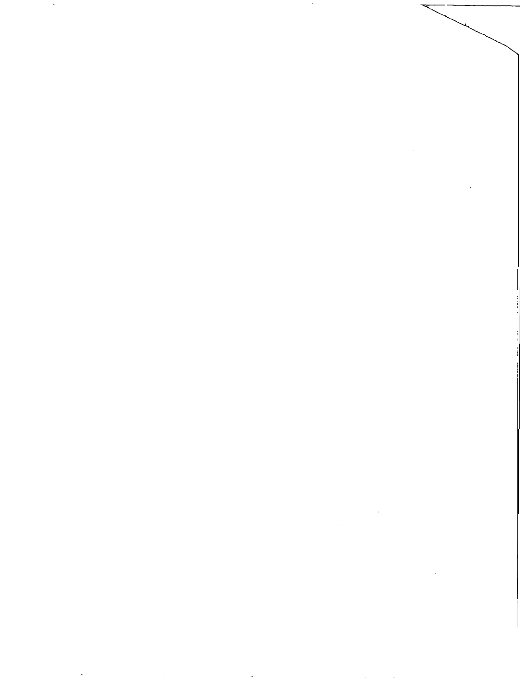$\mathcal{O}(2\pi)$  $\omega$  $\sim 10^{11}$  km s  $^{-1}$  $\sim 10^{-1}$  $\epsilon$  .

 $\mathcal{L}^{\mathcal{L}}(\mathcal{L}^{\mathcal{L}})$  and  $\mathcal{L}^{\mathcal{L}}(\mathcal{L}^{\mathcal{L}})$  and  $\mathcal{L}^{\mathcal{L}}(\mathcal{L}^{\mathcal{L}})$  $\mathcal{L}^{\text{max}}_{\text{max}}$  and  $\mathcal{L}^{\text{max}}_{\text{max}}$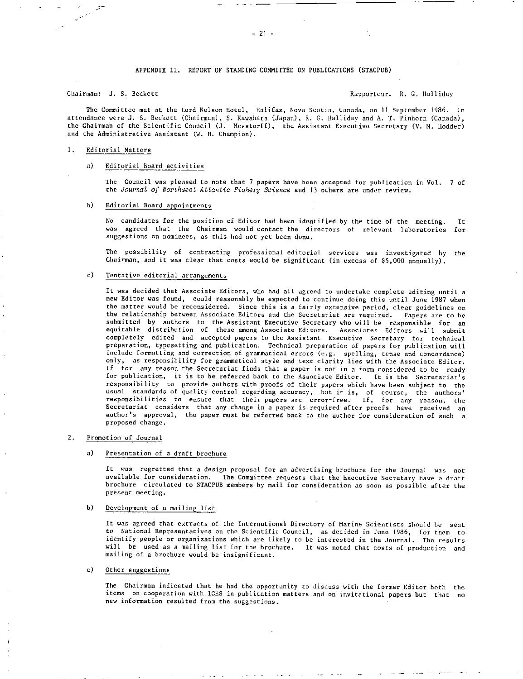## APPENDIX II. REPORT OF STANDING COMMITTEE ON PUBLICATIONS (STACPUB)

## Chairman: J. S. Beckett **Rapporteur: R. G. Halliday**

The Committee met at the Lord Nelson Hotel, Halifax, Nova Scotia, Canada, on 11 September 1986. In attendance were J. S. Beckett (Chairman), S. Kawahara (Japan), R. G. Halliday and A. T. Pinhorn (Canada), the Chairman of the Scientific Council (J. Messtorff), the Assistant Executive Secretary (V. M. Hodder) and the Administrative Assistant (W. H. Champion).

#### 1. Editorial Matters

## a) Editorial Board activities

The Council was pleased to note that 7 papers have been accepted for publication in Vol. 7 of the *Journal of Northwest Atlantic Fishery Science* and 13 others are under review.

## b) Editorial Board appointments

No candidates for the position of Editor had been identified by the time of the meeting. It was agreed that the Chairman would contact the directors of relevant laboratories for suggestions on nominees, as this had not yet been done.

The possibility of contracting professional editorial services was investigated by the Chairman, and it was clear that costs would be significant (in excess of \$5,000 annually).

## c) Tentative editorial arrangements

It was decided that Associate Editors, who had all agreed to undertake complete editing until a new Editor was found, could reasonably be expected to continue doing this until June 1987 when the matter would be reconsidered. Since this is a fairly extensive period, clear guidelines on the relationship between Associate Editors and the Secretariat are required. Papers are to be submitted by authors to the Assistant Executive Secretary who will be responsible for an equitable distribution of these among Associate Editors. Associates Editors will submit completely edited and accepted papers to the Assistant Executive Secretary for technical preparation, typesetting and publication. Technical preparation of papers for publication will include formatting and correction of grammatical errors (e.g. spelling, tense and concordance) only, as responsibility for grammatical style and text clarity lies with the Associate Editor. If for any reason the Secretariat finds that a paper is not in a form considered to be ready for publication, it is to be referred back to the Associate Editor. It is the Secretariat's responsibility to provide authors with proofs of their papers which have been subject to the usual standards of quality control regarding accuracy, but it is, of course, the authors' responsibilities to ensure that their papers are error—free. If, for any reason, the Secretariat considers that any change in a paper is required after proofs have received an author's approval, the paper must be referred back to the author for consideration of such a proposed change.

## 2. Promotion of Journal

## a) Presentation of a draft brochure

It was regretted that a design proposal for an advertising brochure for the Journal was not available for consideration. The Committee requests that the Executive Secretary have a draft brochure circulated to STACPUB members by mail for consideration as soon as possible after the present meeting.

## b) Development of a mailing list

It was agreed that extracts of the International Directory of Marine Scientists should be sent to National. Representatives on the Scientific Council, as decided in June 1986, for them to identify people or organizations which are likely to be interested in the Journal. The results will be used as a mailing list for the brochure. It was noted that costs of production and mailing of a brochure would be insignificant.

## c) Other suggestions

The Chairman indicated that he had the opportunity to discuss with the former Editor both the items on cooperation with ICES in publication matters and on invitational papers but that no new information resulted from the suggestions.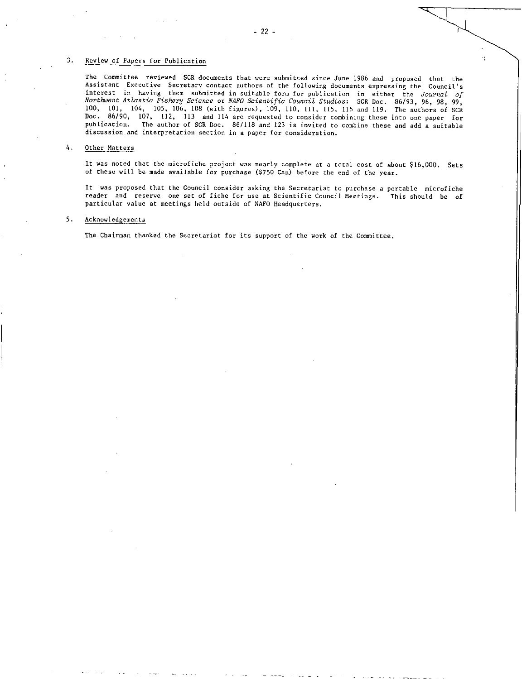## 3. Review of Papers for Publication

The Committee reviewed SCR documents that were submitted since June 1986 and proposed that the Assistant Executive Secretary contact authors of the following documents expressing the Council's interest in having them submitted in suitable form for publication in either the *Journal of Northwest Atlantic Fishery Science* or *NAFO Scientific Council Studies:* SCR Doc. 86/93, 96, 98, 99, 100, 101, 104, 105, 106, 108 (with figures), 109, 110, 111, 115, 116 and 119. The authors of SCR Doc. 86/90, 107, 112, 113 and 114 are requested to consider combining these into one paper for publication. The author of SCR Doc. 86/118 and 123 is invited to combine these and add a suitable discussion and interpretation section in *a* paper for consideration.

ų

## 4. Other Matters

It was noted that the microfiche project was nearly complete at a total cost of about \$16,000. Sets of these will be made available for purchase (\$750 Can) before the end of the year.

It was proposed that the Council consider asking the Secretariat to purchase a portable microfiche reader and reserve one set of fiche for use at Scientific Council Meetings. This should be of particular value at meetings held outside of NAFO Headquarters.

## 5. Acknowledgements

The Chairman thanked the Secretariat for its support of the work of the Committee.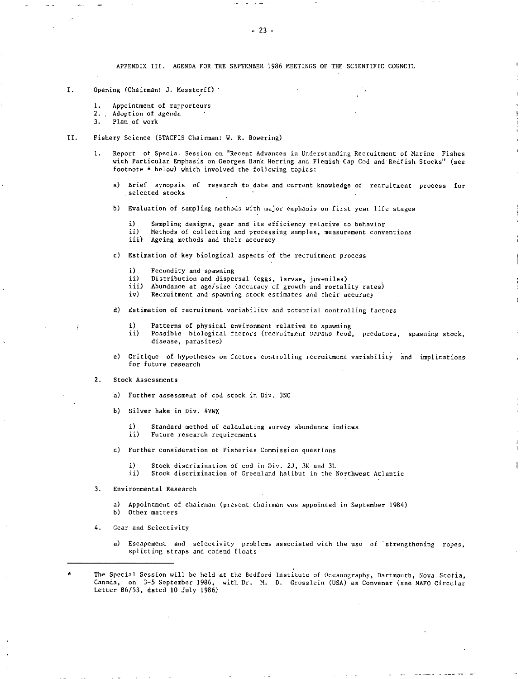APPENDIX III. AGENDA FOR THE SEPTEMBER 1986 MEETINGS OF THE SCIENTIFIC COUNCIL

- I. Opening (Chairman: J. Messtorff)
	-
	- 1. Appointment of rapporteurs<br>2. Adoption of agenda Adoption of agenda
	- 3. Plan of work
- II. Fishery Science (STACFIS Chairman: W. R. Bowering)
	- 1. Report of Special Session on "Recent Advances in Understanding Recruitment of Marine Fishes with Particular Emphasis on Georges Bank Herring and Flemish Cap Cod and Redfish Stocks" *(see*  footnote \* below) which involved the following topics:
		- a) Brief synopsis of research to date and current knowledge of recruitment process for selected stocks
		- b) Evaluation of sampling methods with major emphasis on first year life stages
			- i) Sampling designs, gear and its efficiency relative to behavior
			- ii) Methods of collecting and processing samples, measurement conventions
			- iii) Ageing methods and their accuracy
		- c) Estimation of key biological aspects of the recruitment process
			- i) Fecundity and spawning<br>ii) Distribution and dispe
			- Distribution and dispersal (eggs, larvae, juveniles)
			- iii) Abundance at age/size (accuracy of growth and mortality rates)<br>iv) Recruitment and spawning stock estimates and their accuracy
			- Recruitment and spawning stock estimates and their accuracy
		- d) Estimation of recruitment variability and potential controlling factors
			- i) Patterns of physical environment relative to spawning<br>ii) Possible biological factors (recruitment versus food
			- Possible biological factors (recruitment *versus* food, predators, spawning stock, disease, parasites)
		- e) Critique of hypotheses on factors controlling recruitment variability and implications. for future research
	- 2. Stock Assessments
		- a) Further assessment of cod stock in Div. 3NO
		- b) Silver hake in Div. 4VWX
			- i) Standard method of calculating survey abundance indices<br>ii) Future research requirements
			- Future research requirements
		- c) Further consideration of Fisheries Commission questions <sup>1</sup>
			- i) Stock discrimination of cod in Div. 2J, 3K and 3L<br>ii) Stock discrimination of Greenland halibut in the 1
			- Stock discrimination of Greenland halibut in the Northwest Atlantic
	- 3. Environmental Research
		- a) Appointment of chairman (present chairman was appointed in September 1984)
		- b) Other matters
	- 4. Gear and Selectivity
		- a) Escapement and selectivity problems associated with the use of strengthening ropes, splitting straps and codend floats
- The Special Session will be held at the Bedford Institute of Oceanography, Dartmouth, Nova Scotia, Canada, on 3-5 September 1986, with Dr. M. D. Grosslein (USA) as Convener (see NAFO Circular Letter 86/53, dated 10 July 1986)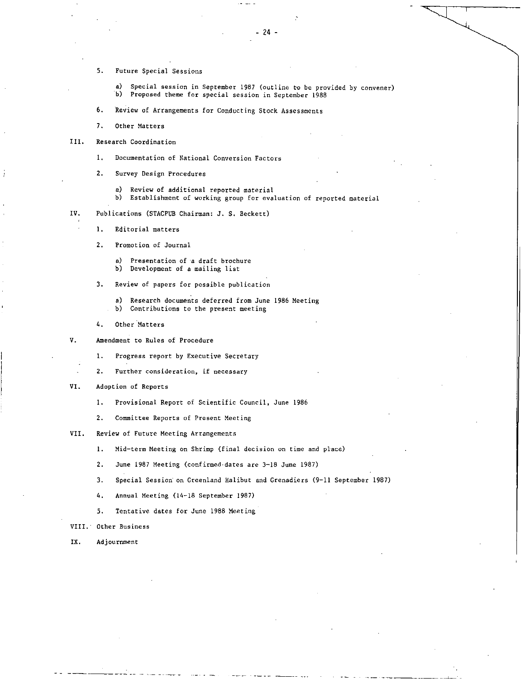- 5. Future Special Sessions
	- a) Special session in September 1987 (outline to be provided by convener) b) Proposed theme for special session in September 1988

6. Review of Arrangements for Conducting Stock Assessments

- 7. Other Matters
- III. Research Coordination
	- 1. Documentation of National Conversion Factors
	- 2. Survey Design Procedures
		- a) Review of additional reported material
		- b) Establishment of working group for evaluation of reported material
- IV. Publications (STACPUB Chairman: J. S. Beckett)
	- I. Editorial matters
	- 2. Promotion of Journal
		- a) Presentation of a draft brochure
		- b) Development of a mailing list
	- 3. Review of papers for possible publication
		- a) Research documents deferred from June 1986 Meeting
		- b) Contributions to the present meeting
	- 4. Other Matters
- V. Amendment to Rules of Procedure
	- 1. Progress report by Executive Secretary
	- 2. Further consideration, if necessary
- VI. Adoption of Reports
	- 1. Provisional Report of Scientific Council, June 1986
	- 2. Committee Reports of Present Meeting
- VII. Review of Future Meeting Arrangements
	- 1. Mid-term Meeting on Shrimp (final decision on time and place)
	- 2. June 1987 Meeting (confirmed-dates are 3-18 June 1987)
	- 3. Special Session on Greenland Halibut and Grenadiers (9-11 September 1987)
	- 4. Annual Meeting (14-18 September 1987)
	- 5. Tentative dates for June 1988 Meeting
- VIII. Other Business
- IX. Adjournment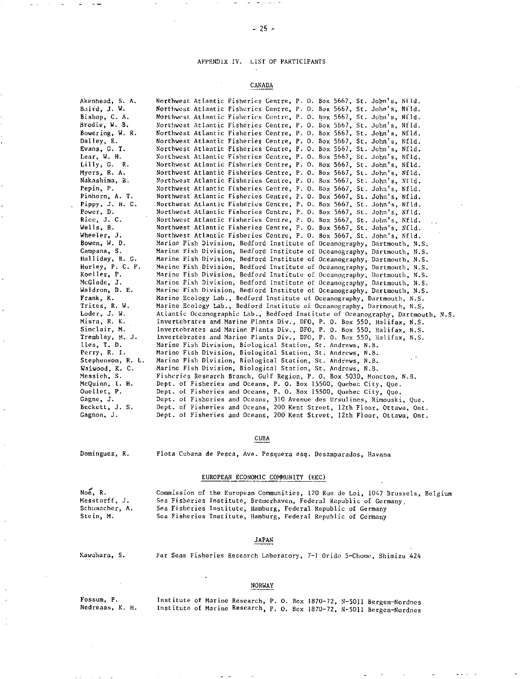## APPENDIX IV. LIST OF PARTICIPANTS

## CANADA

| Akenhead, S. A.   | Northwest Atlantic Fisherics Centre, P. O. Box 5667, St. John's, Nfld.              |
|-------------------|-------------------------------------------------------------------------------------|
| Baird, J. W.      | Northwest Atlantic Fisheries Centre, P. O. Box 5667, St. John's, Nfld.              |
| Bishop, C. A.     | Northwest Atlantic Fisheries Centre, P. O. Box 5667, St. John's, NEId.              |
| Brodie, W. B.     | Northwest Atlantic Fisheries Centre, P. O. Box 5667, St. John's, Nfld.              |
| Bowering, W. R.   | Northwest Atlantic Fisheries Centre, P. O. Box 5667, St. John's, Nfld.              |
| Dalley, E.        | Northwest Atlantic Fisheries Centre, P. O. Box 5667, St. John's, Nfld.              |
| Evans, G. T.      | Northwest Atlantic Fisheries Centre, P. O. Box 5667, St. John's, Nfld.              |
| Lear, W. H.       | Northwest Atlantic Fisheries Centre, P. O. Box 5667, St. John's, Nfld.              |
| Lilly, G. R.      | Northwest Atlantic Fisheries Centre, P. O. Box 5667, St. John's, Nfld.              |
| Myers, R. A.      | Northwest Atlantic Fisheries Centre, P. O. Box 5667, St. John's, Nfld.              |
| Nakashima, B.     | Northwest Atlantic Fisheries Centre, P. O. Box 5667, St. John's, Nfld.              |
| Pepin, P.         | Northwest Atlantic Fisheries Centre, P. O. Box 5667, St. John's, Nfld.              |
| Pinhorn, A. T.    | Northwest Atlantic Fisheries Centre, P. O. Box 5667, St. John's, Nfld.              |
| Pippy, J. H. C.   | Northwest Atlantic Fisheries Centre, P. O. Box 5667, St. John's, Nfld.              |
| Power, D.         | Northwest Atlantic Fisheries Centre, P. O. Box 5667, St. John's, Nfld.              |
| Rice, J. C.       | Northwest Atlantic Fisheries Centre, P. O. Box 5667, St. John's, Nfld.<br>$\sim 10$ |
| Wells. R.         | Northwest Atlantic Fisheries Centre, P. O. Box 5667, St. John's, Nfld.              |
| Wheeler, J.       | Northwest Atlantic Fisheries Centre, P. O. Box 5667, St. John's, Nfld.              |
| Bowen, W. D.      | Marine Fish Division, Bedford Institute of Oceanography, Dartmouth, N.S.            |
| Campana, S.       | Marine Fish Division, Bedford Institute of Oceanography, Dartmouth, N.S.            |
| Halliday, R. G.   | Marine Fish Division, Bedford Institute of Oceanography, Dartmouth, N.S.            |
| Hurley, P. C. F.  | Marine Fish Division, Bedford Institute of Oceanography, Dartmouth, N.S.            |
| Koeller, P.       | Marine Fish Division, Bedford Institute of Oceanography, Dartmouth, N.S.            |
| McGlade, J.       | Marine Fish Division, Bedford Institute of Oceanography, Dartmouth, N.S.            |
| Waldron, D. E.    | Marine Fish Division, Bedford Institute of Oceanography, Dartmouth, N.S.            |
| Frank, K.         | Marine Ecology Lab., Bedford Institute of Oceanography, Dartmouth, N.S.             |
| Trites, R. W.     | Marine Ecology Lab., Bedford Institute of Oceanography, Dartmouth, N.S.             |
| Loder, J. W.      | Atlantic Oceanographic Lab., Bedford Institute of Oceanography, Dartmouth, N.S.     |
| Misra, R. K.      | Invertebrates and Marine Plants Div., DFO, P. O. Box 550, Halifax, N.S.             |
| Sinclair, M.      | Invertebrates and Marine Plants Div., DFO, P. O. Box 550, Halifax, N.S.             |
| Tremblay, M. J.   | Invertebrates and Marine Plants Div., DFO, P. O. Box 550, Halifax, N.S.             |
| Iles. T. D.       | Marine Fish Division, Biological Station, St. Andrews, N.B.                         |
| Perry, R. I.      | Marine Fish Division, Biological Station, St. Andrews, N.B.                         |
| Stephenson, R. L. | Marine Fish Division, Biological Station, St. Andrews, N.B.                         |
| Waiwood, K. C.    | Marine Fish Division, Biological Station, St. Andrews, N.B.                         |
| Messich, S.       | Fisheries Research Branch, Gulf Region, P. O. Box 5030, Moncton, N.B.               |
| McQuinn, I. H.    | Dept. of Fisheries and Oceans, P. O. Box 15500, Quebec City, Que.                   |
| Ouellet, P.       | Dept. of Fisheries and Oceans, P. O. Box 15500, Quebec City, Que.                   |
| Gagne, J.         | Dept. of Fisheries and Oceans, 310 Avenue des Ursulines, Rimouski, Que.             |
| Beckett, J. S.    | Dept. of Fisheries and Oceans, 200 Kent Street, 12th Floor, Ottawa, Ont.            |
| Gagnon, J.        | Dept. of Fisheries and Oceans, 200 Kent Street, 12th Floor, Ottawa, Ont.            |

## CUBA

Dominguez, R. Flota Cubana de Pesca, Ave. Pesquera esq. Desamparados, Havana

## EUROPEAN ECONOMIC COMMUNITY (EEC)

Noe, R. Messtorff, J. Schumacher, A. Stein, M. Commission of the European Communities, 120 Rue de Loi, 1047 Brussels, Belgium Sea Fisheries Institute, Bremerhaven, Federal Republic of Germany, Sea Fisheries Institute, Hamburg, Federal Republic of Germany Sea Fisheries Institute, Hamburg, Federal Republic of Germany

## JAPAN

Kawahara, S. Far Seas Fisheries Research Laboratory, 7-1 Orido 5-Chome, Shimizu 424

# NORWAY

Fossum, P. Institute of Marine Research, P. O. Box 1870-72, N-5011 Bergen-Nordnes<br>Nedreaas, K. H. Institute of Marine Research, P. O. Box 1870-72, N-5011 Bergen-Nordnes Institute of Marine Research, P. O. Box 1870-72, N-5011 Bergen-Nordnes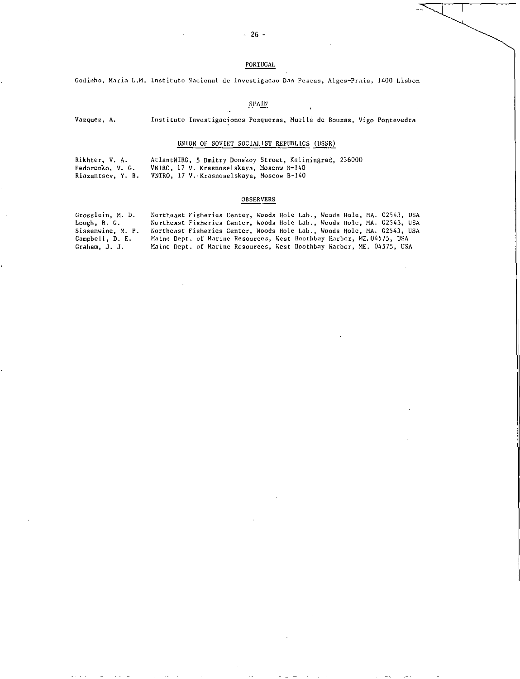# **PORTUGAL**

Godinho, Maria L.M. Instituto Nacional de Investigacao Das Pescas, Alges-Praia, 1400 Lisbon

# SPAIN

# Vazquez, A. **Instituto Investigaciones Pesqueras, Muelle de Bouzas**, Vigo Pontevedra

# UNION OF SOVIET SOCIALIST REPUBLICS (USSR)

Rikhter, V. A. AtlantNlRO, 5 Dmitry Donskoy Street, Kaliningrad, 236000 Fedorenko, V. G. VNIRO, 17 V. Krasnoselskaya, Moscow B-140 Riazantsev, Y. B. VNIRO, 17 V..Krasnoselskaya, Moscow B-I40

## OBSERVERS

| Grosslein. M. D.  | Northeast Fisheries Center, Woods Hole Lab., Woods Hole, MA. 02543, USA |
|-------------------|-------------------------------------------------------------------------|
| Lough, R. C.      | Northeast Fisheries Center, Woods Hole Lab., Woods Hole, MA. 02543, USA |
| Sissenwine, M. P. | Northeast Fisheries Center, Woods Hole Lab., Woods Hole, MA. 02543, USA |
| Campbell, D. E.   | Maine Dept. of Marine Resources, West Boothbay Harbor, ME.04575, USA    |
| Graham, J. J.     | Maine Dept. of Marine Resources, West Boothbay Harbor, ME. 04575, USA   |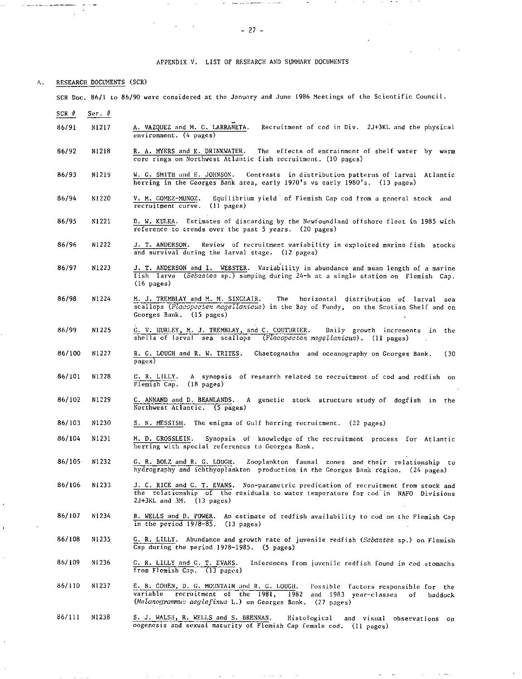## APPENbLX V. LIST OF RESEARCH AND SUMMARY DOCUMENTS

## A. RESEARCH DOCUMENTS(SCR)

SCR Doc. 86/1 to 86/90 were considered at the January and June 1986 Meetings of the Scientific Council.

| SCR | Ser |  |
|-----|-----|--|
|     |     |  |

- 86/91 N1217 A. VAZQUEZ and M.G. LARRANETA. Recruitment of cod in Div. 2J+3KL and the physical environment. (4 pages)
- 86/92 N1218 R. A. MYERS and K. DRINKWATER. The effects of entrainment of shelf water by warm core rings on Northwest Atlantic fish recruitment. (10 pages)
- 86/93 N1219 W. C.SMITH andE. JOHNSON. Contrasts in distribution patterns of larval Atlantic herring in the Georges Bank area, early 1970's vs early 1980's. (13 pages)
- 86/94 N1220 V. M. COMEZ-MUNOZ. Equilibrium yield of Flemish Cap cod from a general stock and recruitment curve. (11 pages)
- 86/95 N1221 D. W. KULKA. Estimates of discarding by the Newfoundland offshore fleet in 1985 with reference to trends over the past 5 years. (20 pages)
- 86/96 N1222 J. T. ANDERSON. Review of recruitment variability in exploited marine fish stocks and survival during the larval stage. (12 pages)
- 86/97 N1223 J. T. ANDERSON and I. WEBSTER. Variability in abundance and mean length of a marine fish larva *(Sebastes* sp.) samping during 24-h at a single station on Flemish Cap. (16 pages)
- 86/98 N1224 M. J. TREMBLAY and M. M. SINCLAIR. The horizontal distribution of larval sea scallops (Placopecten magellanicus) in the Bay of Fundy, on the Scotian Shelf and on Georges Bank. (15 pages)
- 86/99 N1225 C. V. HURLEY, M. J. TREMBLAY, and C. COUTURIER. Daily growth increments in the shells of larval sea scallops *(Placopecten magellanicus).* (11 pages)
- 86/100 N1227 R. G. LOUGH and R. W. TRITES. Chaetognaths and oceanography on Georges Bank. (30 pages)
- 86/101 N1228 C. R. LILLY. A synopsis of research related to recruitment of cod and redfish on G. R. LILLY. A synops<br>Flemish Cap. (18 pages)
- 86/102 N1229 C. ANNAND and D. BEANLANDS. A genetic stock structure study of dogfish in the Northwest Atlantic. (5 pages)
- 86/103 N1230 S. N. MESSISH. The enigma of Gulf herring recruitment. (22 pages)
- 86/104 N1231 M. D. GROSSLEIN. Synopsis of knowledge of the recruitment process for Atlantic herring with special references to Georges Bank.
- 86/105 N1232 G. R. BOLZ and R. G. LOUGH. Zooplankton faunal zones and their relationship to hydrography and ichthyoplankton production in the Georges Bank region. (24 pages)
- 86/106 N1233 J. C. RICE and C. T. EVANS. Non-parametric predication of recruitment from stock and the relationship of the residuals to water temperature for cod'in NAFO Divisions 2J+3KL and 3M. (13 pages)
- 86/107 N1234 R. WELLS and D. POWER. An estimate of redfish availability to cod on the Flemish Cap in the period 1978-85. (13 pages)
- 86/108 N1235 G. R. LILLY. Abundance and growth rate of juvenile redfish *(Sebastes* sp.) on Flemish Cap during the period 1978-1985. (5 pages)
- 86/109 N1236 G. R. LILLY and G. T. EVANS. Inferences from juvenile redfish found in cod stomachs C. R. LILLY and G. T. EVANS.<br>from Flemish Cap. (13 pages)
- 86/110 N1237 E. B. COHEN, D. G. MOUNTAIN and R. G. LOUGH. Possible factors responsible for the variable recruitment of the 1981, 1982 and 1983 year-classes of haddock *(Melanogrammus aegiefinus* L.) on Georges Bank. (27 pages)
- 86/111 N1238 S. J. WALSH, R. WELLS and S. BRENNAN. Histological and visual observations on oogenesis and sexual maturity of Flemish Cap female cod. (11 pages)